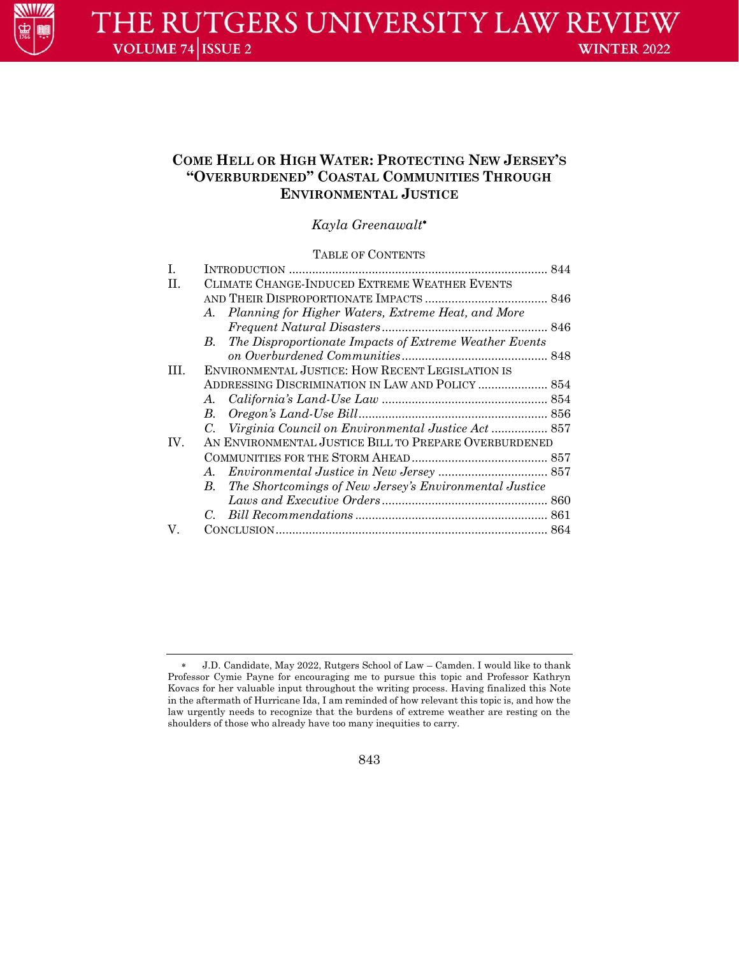

# **COME HELL OR HIGH WATER: PROTECTING NEW JERSEY'S "OVERBURDENED" COASTAL COMMUNITIES THROUGH ENVIRONMENTAL JUSTICE**

*Kayla Greenawalt*

## TABLE OF CONTENTS

| I.  |                                                       |                                                        |  |
|-----|-------------------------------------------------------|--------------------------------------------------------|--|
| H.  | CLIMATE CHANGE-INDUCED EXTREME WEATHER EVENTS         |                                                        |  |
|     |                                                       |                                                        |  |
|     | A.                                                    | Planning for Higher Waters, Extreme Heat, and More     |  |
|     |                                                       |                                                        |  |
|     | В.                                                    | The Disproportionate Impacts of Extreme Weather Events |  |
|     |                                                       |                                                        |  |
| HL. | ENVIRONMENTAL JUSTICE: HOW RECENT LEGISLATION IS      |                                                        |  |
|     |                                                       | ADDRESSING DISCRIMINATION IN LAW AND POLICY  854       |  |
|     | A.                                                    |                                                        |  |
|     | $B_{\cdot}$                                           |                                                        |  |
|     |                                                       |                                                        |  |
| IV. | AN ENVIRONMENTAL JUSTICE BILL TO PREPARE OVERBURDENED |                                                        |  |
|     |                                                       |                                                        |  |
|     | $A_{\cdot}$                                           |                                                        |  |
|     | В.                                                    | The Shortcomings of New Jersey's Environmental Justice |  |
|     |                                                       |                                                        |  |
|     |                                                       |                                                        |  |
| V.  |                                                       |                                                        |  |
|     |                                                       |                                                        |  |

843

 J.D. Candidate, May 2022, Rutgers School of Law – Camden. I would like to thank Professor Cymie Payne for encouraging me to pursue this topic and Professor Kathryn Kovacs for her valuable input throughout the writing process. Having finalized this Note in the aftermath of Hurricane Ida, I am reminded of how relevant this topic is, and how the law urgently needs to recognize that the burdens of extreme weather are resting on the shoulders of those who already have too many inequities to carry.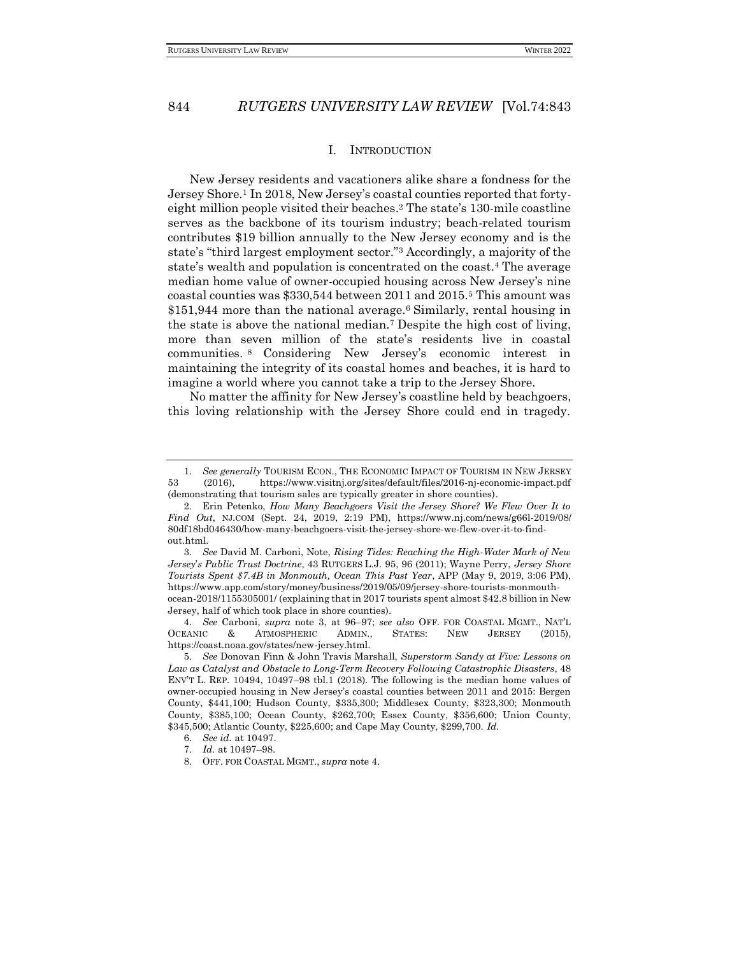#### I. INTRODUCTION

<span id="page-1-0"></span>New Jersey residents and vacationers alike share a fondness for the Jersey Shore.<sup>1</sup> In 2018, New Jersey's coastal counties reported that fortyeight million people visited their beaches. <sup>2</sup> The state's 130-mile coastline serves as the backbone of its tourism industry; beach-related tourism contributes \$19 billion annually to the New Jersey economy and is the state's "third largest employment sector."<sup>3</sup> Accordingly, a majority of the state's wealth and population is concentrated on the coast.<sup>4</sup> The average median home value of owner-occupied housing across New Jersey's nine coastal counties was \$330,544 between 2011 and 2015.<sup>5</sup> This amount was \$151,944 more than the national average.<sup>6</sup> Similarly, rental housing in the state is above the national median.<sup>7</sup> Despite the high cost of living, more than seven million of the state's residents live in coastal communities. <sup>8</sup> Considering New Jersey's economic interest in maintaining the integrity of its coastal homes and beaches, it is hard to imagine a world where you cannot take a trip to the Jersey Shore.

No matter the affinity for New Jersey's coastline held by beachgoers, this loving relationship with the Jersey Shore could end in tragedy.

4. *See* Carboni, *supra* note 3, at 96–97; *see also* OFF. FOR COASTAL MGMT., NAT'L OCEANIC & ATMOSPHERIC ADMIN., STATES: NEW JERSEY (2015), https://coast.noaa.gov/states/new-jersey.html.

<sup>1.</sup> *See generally* TOURISM ECON., THE ECONOMIC IMPACT OF TOURISM IN NEW JERSEY 53 (2016), https://www.visitnj.org/sites/default/files/2016-nj-economic-impact.pdf (demonstrating that tourism sales are typically greater in shore counties).

<sup>2.</sup> Erin Petenko, *How Many Beachgoers Visit the Jersey Shore? We Flew Over It to Find Out*, NJ.COM (Sept. 24, 2019, 2:19 PM), https://www.nj.com/news/g66l-2019/08/ 80df18bd046430/how-many-beachgoers-visit-the-jersey-shore-we-flew-over-it-to-findout.html.

<sup>3.</sup> *See* David M. Carboni, Note, *Rising Tides: Reaching the High-Water Mark of New Jersey*'*s Public Trust Doctrine*, 43 RUTGERS L.J. 95, 96 (2011); Wayne Perry, *Jersey Shore Tourists Spent \$7.4B in Monmouth, Ocean This Past Year*, APP (May 9, 2019, 3:06 PM), https://www.app.com/story/money/business/2019/05/09/jersey-shore-tourists-monmouthocean-2018/1155305001/ (explaining that in 2017 tourists spent almost \$42.8 billion in New Jersey, half of which took place in shore counties).

<sup>5.</sup> *See* Donovan Finn & John Travis Marshall, *Superstorm Sandy at Five: Lessons on Law as Catalyst and Obstacle to Long-Term Recovery Following Catastrophic Disasters*, 48 ENV'T L. REP. 10494, 10497–98 tbl.1 (2018). The following is the median home values of owner-occupied housing in New Jersey's coastal counties between 2011 and 2015: Bergen County, \$441,100; Hudson County, \$335,300; Middlesex County, \$323,300; Monmouth County, \$385,100; Ocean County, \$262,700; Essex County, \$356,600; Union County, \$345,500; Atlantic County, \$225,600; and Cape May County, \$299,700. *Id.*

<sup>6.</sup> *See id.* at 10497.

<sup>7.</sup> *Id.* at 10497–98.

<sup>8.</sup> OFF. FOR COASTAL MGMT., *supra* note 4.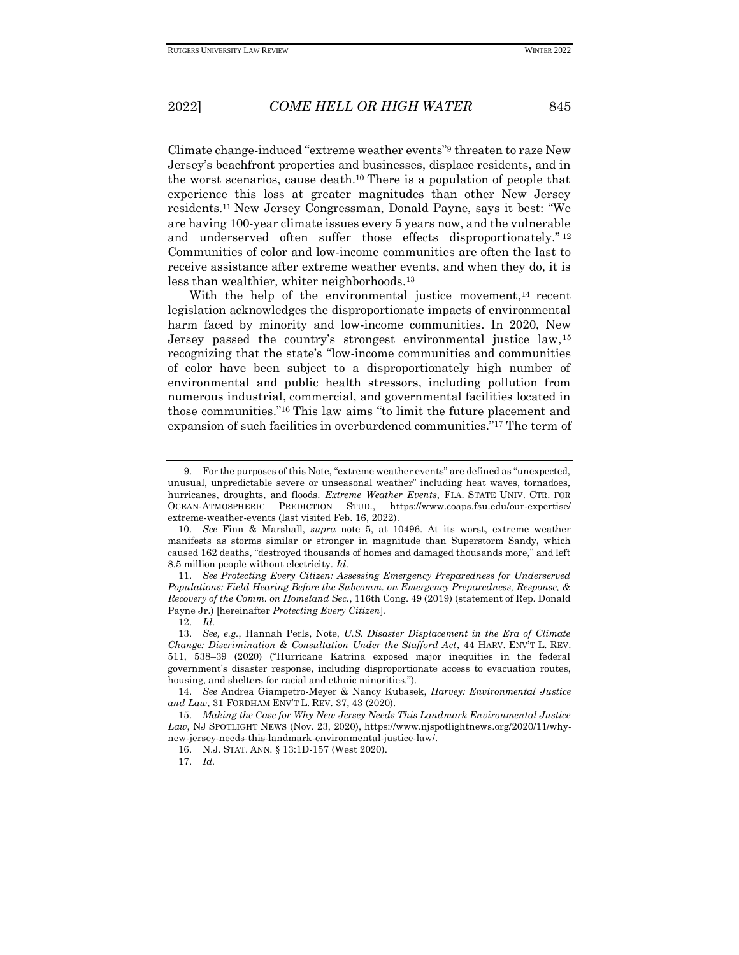Climate change-induced "extreme weather events"<sup>9</sup> threaten to raze New Jersey's beachfront properties and businesses, displace residents, and in the worst scenarios, cause death.<sup>10</sup> There is a population of people that experience this loss at greater magnitudes than other New Jersey residents.<sup>11</sup> New Jersey Congressman, Donald Payne, says it best: "We are having 100-year climate issues every 5 years now, and the vulnerable and underserved often suffer those effects disproportionately."<sup>12</sup> Communities of color and low-income communities are often the last to receive assistance after extreme weather events, and when they do, it is less than wealthier, whiter neighborhoods.<sup>13</sup>

With the help of the environmental justice movement,<sup>14</sup> recent legislation acknowledges the disproportionate impacts of environmental harm faced by minority and low-income communities. In 2020, New Jersey passed the country's strongest environmental justice law, 15 recognizing that the state's "low-income communities and communities of color have been subject to a disproportionately high number of environmental and public health stressors, including pollution from numerous industrial, commercial, and governmental facilities located in those communities."<sup>16</sup> This law aims "to limit the future placement and expansion of such facilities in overburdened communities."<sup>17</sup> The term of

11. *See Protecting Every Citizen: Assessing Emergency Preparedness for Underserved Populations: Field Hearing Before the Subcomm. on Emergency Preparedness, Response, & Recovery of the Comm. on Homeland Sec.*, 116th Cong. 49 (2019) (statement of Rep. Donald Payne Jr.) [hereinafter *Protecting Every Citizen*].

14. *See* Andrea Giampetro-Meyer & Nancy Kubasek, *Harvey: Environmental Justice and Law*, 31 FORDHAM ENV'T L. REV. 37, 43 (2020).

<sup>9.</sup> For the purposes of this Note, "extreme weather events" are defined as "unexpected, unusual, unpredictable severe or unseasonal weather" including heat waves, tornadoes, hurricanes, droughts, and floods. *Extreme Weather Events*, FLA. STATE UNIV. CTR. FOR OCEAN-ATMOSPHERIC PREDICTION STUD., https://www.coaps.fsu.edu/our-expertise/ extreme-weather-events (last visited Feb. 16, 2022).

<sup>10.</sup> *See* Finn & Marshall, *supra* note 5, at 10496. At its worst, extreme weather manifests as storms similar or stronger in magnitude than Superstorm Sandy, which caused 162 deaths, "destroyed thousands of homes and damaged thousands more," and left 8.5 million people without electricity. *Id.*

<sup>12.</sup> *Id.*

<sup>13.</sup> *See, e.g.*, Hannah Perls, Note, *U.S. Disaster Displacement in the Era of Climate Change: Discrimination & Consultation Under the Stafford Act*, 44 HARV. ENV'T L. REV. 511, 538–39 (2020) ("Hurricane Katrina exposed major inequities in the federal government's disaster response, including disproportionate access to evacuation routes, housing, and shelters for racial and ethnic minorities.").

<sup>15.</sup> *Making the Case for Why New Jersey Needs This Landmark Environmental Justice Law*, NJ SPOTLIGHT NEWS (Nov. 23, 2020), https://www.njspotlightnews.org/2020/11/whynew-jersey-needs-this-landmark-environmental-justice-law/.

<sup>16.</sup> N.J. STAT. ANN. § 13:1D-157 (West 2020).

<sup>17.</sup> *Id.*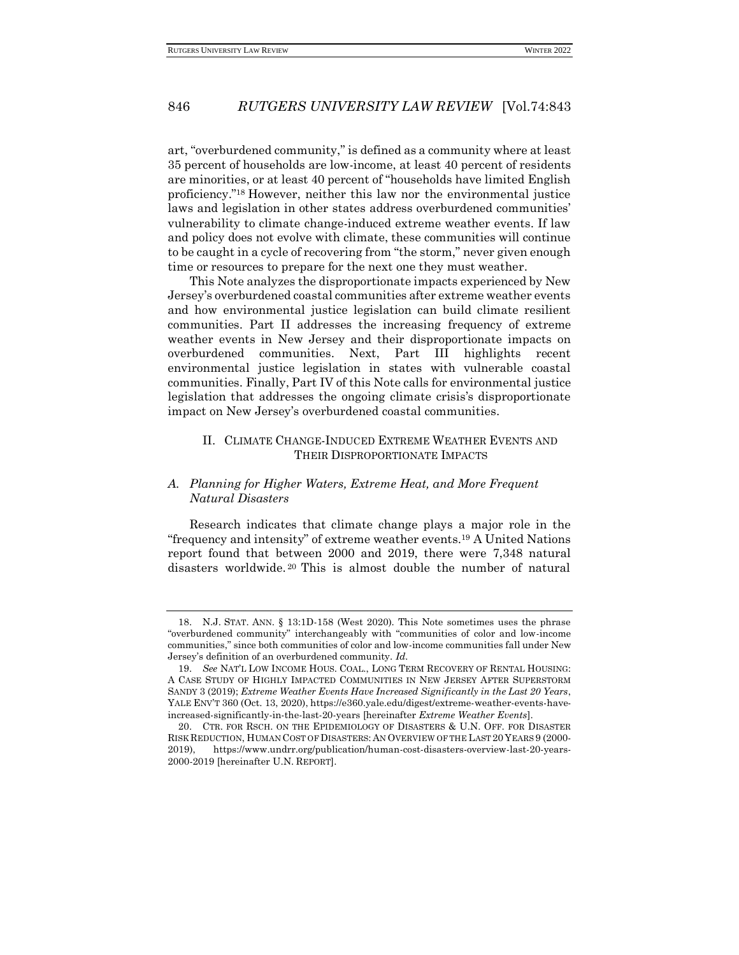art, "overburdened community," is defined as a community where at least 35 percent of households are low-income, at least 40 percent of residents are minorities, or at least 40 percent of "households have limited English proficiency."<sup>18</sup> However, neither this law nor the environmental justice laws and legislation in other states address overburdened communities' vulnerability to climate change-induced extreme weather events. If law and policy does not evolve with climate, these communities will continue to be caught in a cycle of recovering from "the storm," never given enough time or resources to prepare for the next one they must weather.

This Note analyzes the disproportionate impacts experienced by New Jersey's overburdened coastal communities after extreme weather events and how environmental justice legislation can build climate resilient communities. Part II addresses the increasing frequency of extreme weather events in New Jersey and their disproportionate impacts on overburdened communities. Next, Part III highlights recent environmental justice legislation in states with vulnerable coastal communities. Finally, Part IV of this Note calls for environmental justice legislation that addresses the ongoing climate crisis's disproportionate impact on New Jersey's overburdened coastal communities.

## <span id="page-3-0"></span>II. CLIMATE CHANGE-INDUCED EXTREME WEATHER EVENTS AND THEIR DISPROPORTIONATE IMPACTS

## <span id="page-3-1"></span>*A. Planning for Higher Waters, Extreme Heat, and More Frequent Natural Disasters*

Research indicates that climate change plays a major role in the "frequency and intensity" of extreme weather events.<sup>19</sup> A United Nations report found that between 2000 and 2019, there were 7,348 natural disasters worldwide. <sup>20</sup> This is almost double the number of natural

<sup>18.</sup> N.J. STAT. ANN. § 13:1D-158 (West 2020). This Note sometimes uses the phrase "overburdened community" interchangeably with "communities of color and low-income communities," since both communities of color and low-income communities fall under New Jersey's definition of an overburdened community. *Id.*

<sup>19.</sup> *See* NAT'L LOW INCOME HOUS. COAL., LONG TERM RECOVERY OF RENTAL HOUSING: A CASE STUDY OF HIGHLY IMPACTED COMMUNITIES IN NEW JERSEY AFTER SUPERSTORM SANDY 3 (2019); *Extreme Weather Events Have Increased Significantly in the Last 20 Years*, YALE ENV'T 360 (Oct. 13, 2020), https://e360.yale.edu/digest/extreme-weather-events-haveincreased-significantly-in-the-last-20-years [hereinafter *Extreme Weather Events*].

<sup>20.</sup> CTR. FOR RSCH. ON THE EPIDEMIOLOGY OF DISASTERS & U.N. OFF. FOR DISASTER RISK REDUCTION, HUMAN COST OF DISASTERS: AN OVERVIEW OF THE LAST 20 YEARS 9 (2000- 2019), https://www.undrr.org/publication/human-cost-disasters-overview-last-20-years-2000-2019 [hereinafter U.N. REPORT].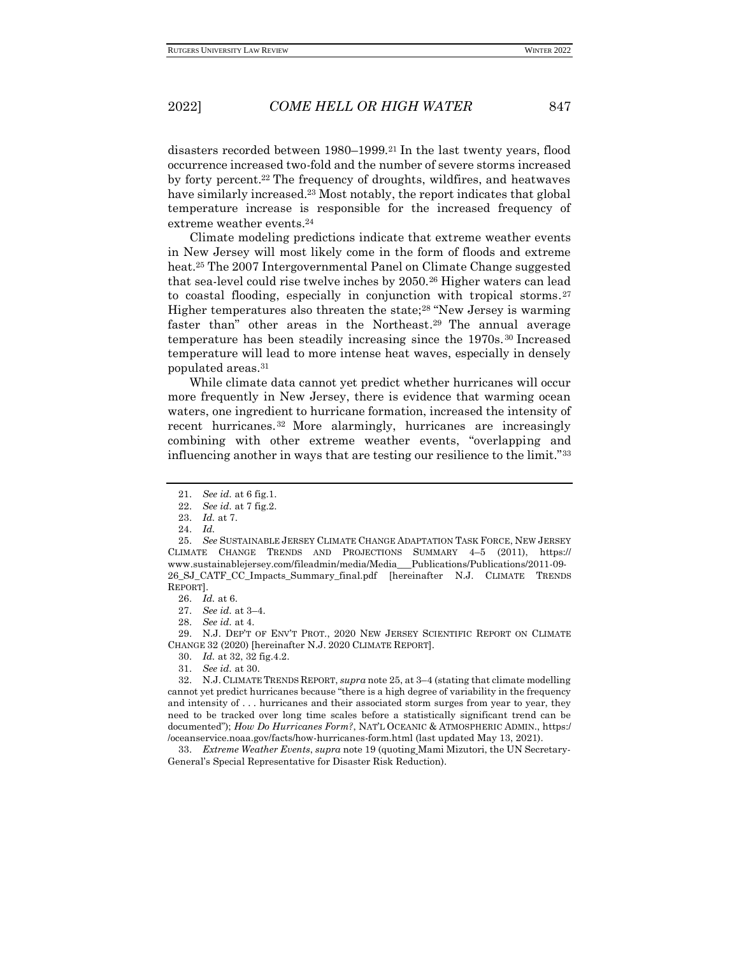disasters recorded between 1980–1999.<sup>21</sup> In the last twenty years, flood occurrence increased two-fold and the number of severe storms increased by forty percent.<sup>22</sup> The frequency of droughts, wildfires, and heatwaves have similarly increased.<sup>23</sup> Most notably, the report indicates that global temperature increase is responsible for the increased frequency of extreme weather events.<sup>24</sup>

Climate modeling predictions indicate that extreme weather events in New Jersey will most likely come in the form of floods and extreme heat.<sup>25</sup> The 2007 Intergovernmental Panel on Climate Change suggested that sea-level could rise twelve inches by 2050.<sup>26</sup> Higher waters can lead to coastal flooding, especially in conjunction with tropical storms. 27 Higher temperatures also threaten the state;<sup>28</sup> "New Jersey is warming faster than" other areas in the Northeast. <sup>29</sup> The annual average temperature has been steadily increasing since the 1970s.<sup>30</sup> Increased temperature will lead to more intense heat waves, especially in densely populated areas.<sup>31</sup>

While climate data cannot yet predict whether hurricanes will occur more frequently in New Jersey, there is evidence that warming ocean waters, one ingredient to hurricane formation, increased the intensity of recent hurricanes. <sup>32</sup> More alarmingly, hurricanes are increasingly combining with other extreme weather events, "overlapping and influencing another in ways that are testing our resilience to the limit."<sup>33</sup>

27. *See id.* at 3–4.

29. N.J. DEP'T OF ENV'T PROT., 2020 NEW JERSEY SCIENTIFIC REPORT ON CLIMATE CHANGE 32 (2020) [hereinafter N.J. 2020 CLIMATE REPORT].

33. *Extreme Weather Events*, *supra* note 19 (quoting Mami Mizutori, the UN Secretary-General's Special Representative for Disaster Risk Reduction).

<sup>21.</sup> *See id.* at 6 fig.1.

<sup>22.</sup> *See id.* at 7 fig.2.

<sup>23.</sup> *Id.* at 7.

<sup>24.</sup> *Id.*

<sup>25.</sup> *See* SUSTAINABLE JERSEY CLIMATE CHANGE ADAPTATION TASK FORCE, NEW JERSEY CLIMATE CHANGE TRENDS AND PROJECTIONS SUMMARY 4–5 (2011), https:// www.sustainablejersey.com/fileadmin/media/Media\_\_\_Publications/Publications/2011-09- 26\_SJ\_CATF\_CC\_Impacts\_Summary\_final.pdf [hereinafter N.J. CLIMATE TRENDS REPORT].

<sup>26.</sup> *Id.* at 6.

<sup>28.</sup> *See id.* at 4.

<sup>30.</sup> *Id.* at 32, 32 fig.4.2.

<sup>31.</sup> *See id.* at 30.

<sup>32.</sup> N.J. CLIMATE TRENDS REPORT, *supra* note 25, at 3–4 (stating that climate modelling cannot yet predict hurricanes because "there is a high degree of variability in the frequency and intensity of . . . hurricanes and their associated storm surges from year to year, they need to be tracked over long time scales before a statistically significant trend can be documented"); *How Do Hurricanes Form?*, NAT'L OCEANIC & ATMOSPHERIC ADMIN., https:/ /oceanservice.noaa.gov/facts/how-hurricanes-form.html (last updated May 13, 2021).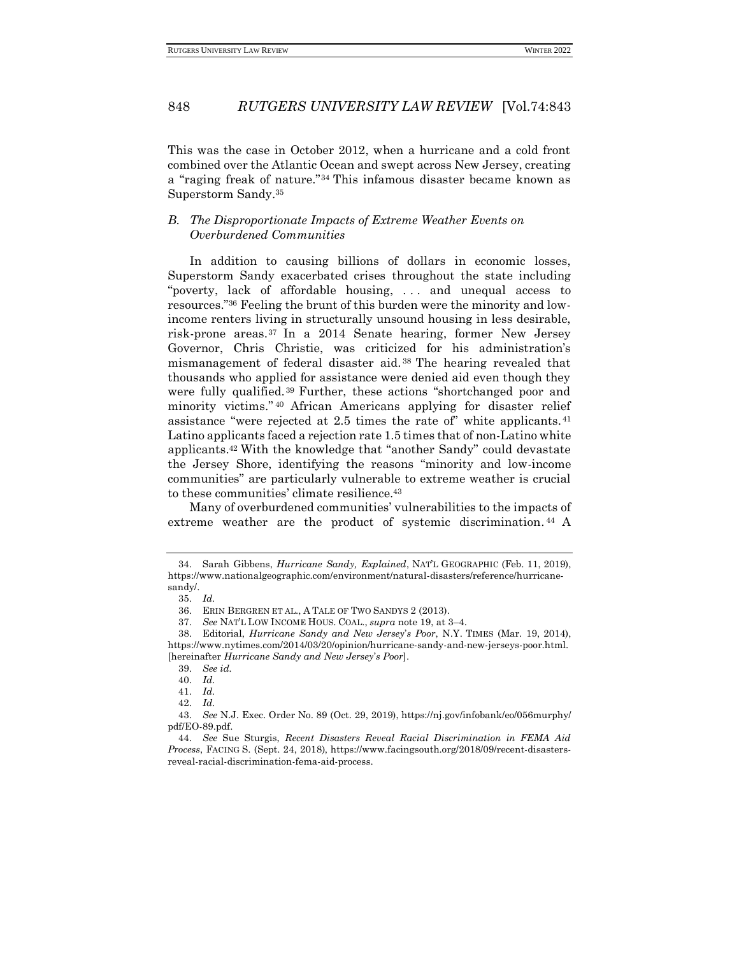This was the case in October 2012, when a hurricane and a cold front combined over the Atlantic Ocean and swept across New Jersey, creating a "raging freak of nature."<sup>34</sup> This infamous disaster became known as Superstorm Sandy.<sup>35</sup>

## <span id="page-5-0"></span>*B. The Disproportionate Impacts of Extreme Weather Events on Overburdened Communities*

In addition to causing billions of dollars in economic losses, Superstorm Sandy exacerbated crises throughout the state including "poverty, lack of affordable housing, . . . and unequal access to resources."<sup>36</sup> Feeling the brunt of this burden were the minority and lowincome renters living in structurally unsound housing in less desirable, risk-prone areas. <sup>37</sup> In a 2014 Senate hearing, former New Jersey Governor, Chris Christie, was criticized for his administration's mismanagement of federal disaster aid. <sup>38</sup> The hearing revealed that thousands who applied for assistance were denied aid even though they were fully qualified.<sup>39</sup> Further, these actions "shortchanged poor and minority victims." <sup>40</sup> African Americans applying for disaster relief assistance "were rejected at 2.5 times the rate of" white applicants. <sup>41</sup> Latino applicants faced a rejection rate 1.5 times that of non-Latino white applicants.<sup>42</sup> With the knowledge that "another Sandy" could devastate the Jersey Shore, identifying the reasons "minority and low-income communities" are particularly vulnerable to extreme weather is crucial to these communities' climate resilience.<sup>43</sup>

Many of overburdened communities' vulnerabilities to the impacts of extreme weather are the product of systemic discrimination. <sup>44</sup> A

<sup>34.</sup> Sarah Gibbens, *Hurricane Sandy, Explained*, NAT'L GEOGRAPHIC (Feb. 11, 2019), https://www.nationalgeographic.com/environment/natural-disasters/reference/hurricanesandy/.

<sup>35.</sup> *Id.*

<sup>36.</sup> ERIN BERGREN ET AL., A TALE OF TWO SANDYS 2 (2013).

<sup>37.</sup> *See* NAT'L LOW INCOME HOUS. COAL., *supra* note 19, at 3–4.

<sup>38.</sup> Editorial, *Hurricane Sandy and New Jersey*'*s Poor*, N.Y. TIMES (Mar. 19, 2014), https://www.nytimes.com/2014/03/20/opinion/hurricane-sandy-and-new-jerseys-poor.html. [hereinafter *Hurricane Sandy and New Jersey*'*s Poor*].

<sup>39.</sup> *See id.*

<sup>40.</sup> *Id.*

<sup>41.</sup> *Id.*

<sup>42.</sup> *Id.*

<sup>43.</sup> *See* N.J. Exec. Order No. 89 (Oct. 29, 2019), https://nj.gov/infobank/eo/056murphy/ pdf/EO-89.pdf.

<sup>44.</sup> *See* Sue Sturgis, *Recent Disasters Reveal Racial Discrimination in FEMA Aid Process*, FACING S. (Sept. 24, 2018), https://www.facingsouth.org/2018/09/recent-disastersreveal-racial-discrimination-fema-aid-process.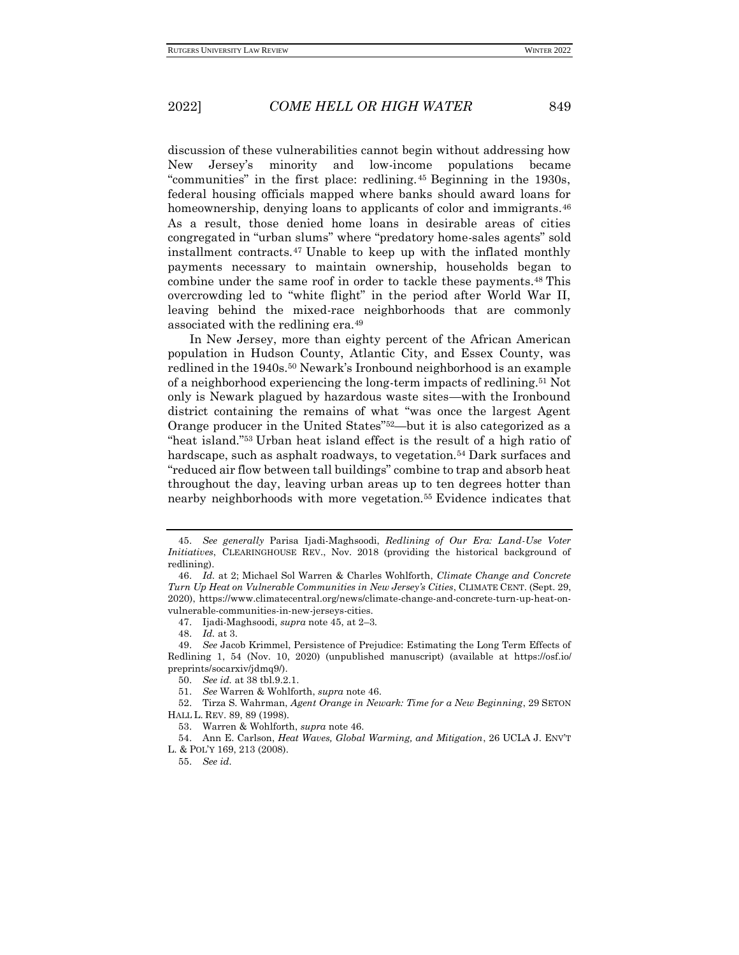discussion of these vulnerabilities cannot begin without addressing how New Jersey's minority and low-income populations became "communities" in the first place: redlining.<sup>45</sup> Beginning in the 1930s, federal housing officials mapped where banks should award loans for homeownership, denying loans to applicants of color and immigrants.<sup>46</sup> As a result, those denied home loans in desirable areas of cities congregated in "urban slums" where "predatory home-sales agents" sold installment contracts.<sup>47</sup> Unable to keep up with the inflated monthly payments necessary to maintain ownership, households began to combine under the same roof in order to tackle these payments.<sup>48</sup> This overcrowding led to "white flight" in the period after World War II, leaving behind the mixed-race neighborhoods that are commonly associated with the redlining era.<sup>49</sup>

In New Jersey, more than eighty percent of the African American population in Hudson County, Atlantic City, and Essex County, was redlined in the 1940s.<sup>50</sup> Newark's Ironbound neighborhood is an example of a neighborhood experiencing the long-term impacts of redlining.<sup>51</sup> Not only is Newark plagued by hazardous waste sites—with the Ironbound district containing the remains of what "was once the largest Agent Orange producer in the United States"52—but it is also categorized as a "heat island."<sup>53</sup> Urban heat island effect is the result of a high ratio of hardscape, such as asphalt roadways, to vegetation.<sup>54</sup> Dark surfaces and "reduced air flow between tall buildings" combine to trap and absorb heat throughout the day, leaving urban areas up to ten degrees hotter than nearby neighborhoods with more vegetation.<sup>55</sup> Evidence indicates that

<sup>45.</sup> *See generally* Parisa Ijadi-Maghsoodi, *Redlining of Our Era: Land-Use Voter Initiatives*, CLEARINGHOUSE REV., Nov. 2018 (providing the historical background of redlining).

<sup>46.</sup> *Id.* at 2; Michael Sol Warren & Charles Wohlforth, *Climate Change and Concrete Turn Up Heat on Vulnerable Communities in New Jersey's Cities*, CLIMATE CENT. (Sept. 29, 2020), https://www.climatecentral.org/news/climate-change-and-concrete-turn-up-heat-onvulnerable-communities-in-new-jerseys-cities.

<sup>47.</sup> Ijadi-Maghsoodi, *supra* note 45, at 2–3.

<sup>48.</sup> *Id.* at 3.

<sup>49.</sup> *See* Jacob Krimmel, Persistence of Prejudice: Estimating the Long Term Effects of Redlining 1, 54 (Nov. 10, 2020) (unpublished manuscript) (available at https://osf.io/ preprints/socarxiv/jdmq9/).

<sup>50.</sup> *See id.* at 38 tbl.9.2.1.

<sup>51.</sup> *See* Warren & Wohlforth, *supra* note 46.

<sup>52.</sup> Tirza S. Wahrman, *Agent Orange in Newark: Time for a New Beginning*, 29 SETON HALL L. REV. 89, 89 (1998).

<sup>53.</sup> Warren & Wohlforth, *supra* note 46.

<sup>54.</sup> Ann E. Carlson, *Heat Waves, Global Warming, and Mitigation*, 26 UCLA J. ENV'T L. & POL'Y 169, 213 (2008).

<sup>55.</sup> *See id.*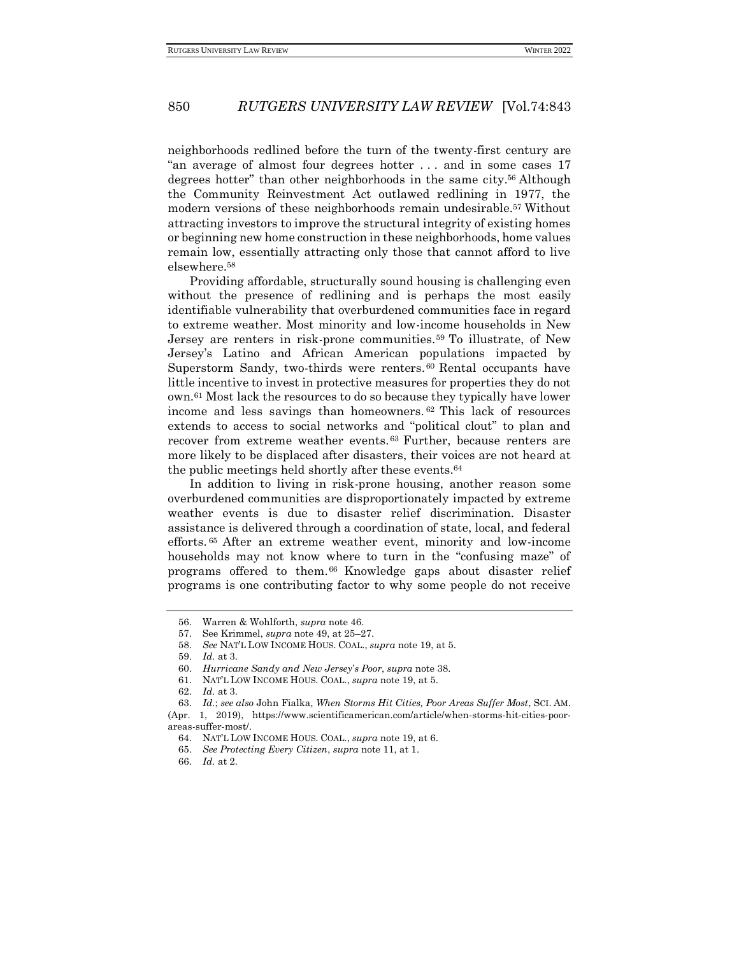neighborhoods redlined before the turn of the twenty-first century are "an average of almost four degrees hotter . . . and in some cases 17 degrees hotter" than other neighborhoods in the same city. <sup>56</sup> Although the Community Reinvestment Act outlawed redlining in 1977, the modern versions of these neighborhoods remain undesirable.<sup>57</sup> Without attracting investors to improve the structural integrity of existing homes or beginning new home construction in these neighborhoods, home values remain low, essentially attracting only those that cannot afford to live elsewhere.<sup>58</sup>

Providing affordable, structurally sound housing is challenging even without the presence of redlining and is perhaps the most easily identifiable vulnerability that overburdened communities face in regard to extreme weather. Most minority and low-income households in New Jersey are renters in risk-prone communities.<sup>59</sup> To illustrate, of New Jersey's Latino and African American populations impacted by Superstorm Sandy, two-thirds were renters.<sup>60</sup> Rental occupants have little incentive to invest in protective measures for properties they do not own.<sup>61</sup> Most lack the resources to do so because they typically have lower income and less savings than homeowners. <sup>62</sup> This lack of resources extends to access to social networks and "political clout" to plan and recover from extreme weather events. <sup>63</sup> Further, because renters are more likely to be displaced after disasters, their voices are not heard at the public meetings held shortly after these events.<sup>64</sup>

In addition to living in risk-prone housing, another reason some overburdened communities are disproportionately impacted by extreme weather events is due to disaster relief discrimination. Disaster assistance is delivered through a coordination of state, local, and federal efforts. <sup>65</sup> After an extreme weather event, minority and low-income households may not know where to turn in the "confusing maze" of programs offered to them. <sup>66</sup> Knowledge gaps about disaster relief programs is one contributing factor to why some people do not receive

<sup>56.</sup> Warren & Wohlforth, *supra* note 46.

<sup>57.</sup> See Krimmel, *supra* note 49, at 25–27.

<sup>58.</sup> *See* NAT'L LOW INCOME HOUS. COAL., *supra* note 19, at 5.

<sup>59.</sup> *Id.* at 3.

<sup>60.</sup> *Hurricane Sandy and New Jersey*'*s Poor*, *supra* note 38.

<sup>61.</sup> NAT'L LOW INCOME HOUS. COAL., *supra* note 19, at 5.

<sup>62.</sup> *Id.* at 3.

<sup>63.</sup> *Id.*; *see also* John Fialka, *When Storms Hit Cities, Poor Areas Suffer Most*, SCI. AM. (Apr. 1, 2019), https://www.scientificamerican.com/article/when-storms-hit-cities-poor-

areas-suffer-most/.

<sup>64.</sup> NAT'L LOW INCOME HOUS. COAL., *supra* note 19, at 6.

<sup>65.</sup> *See Protecting Every Citizen*, *supra* note 11, at 1.

<sup>66.</sup> *Id.* at 2.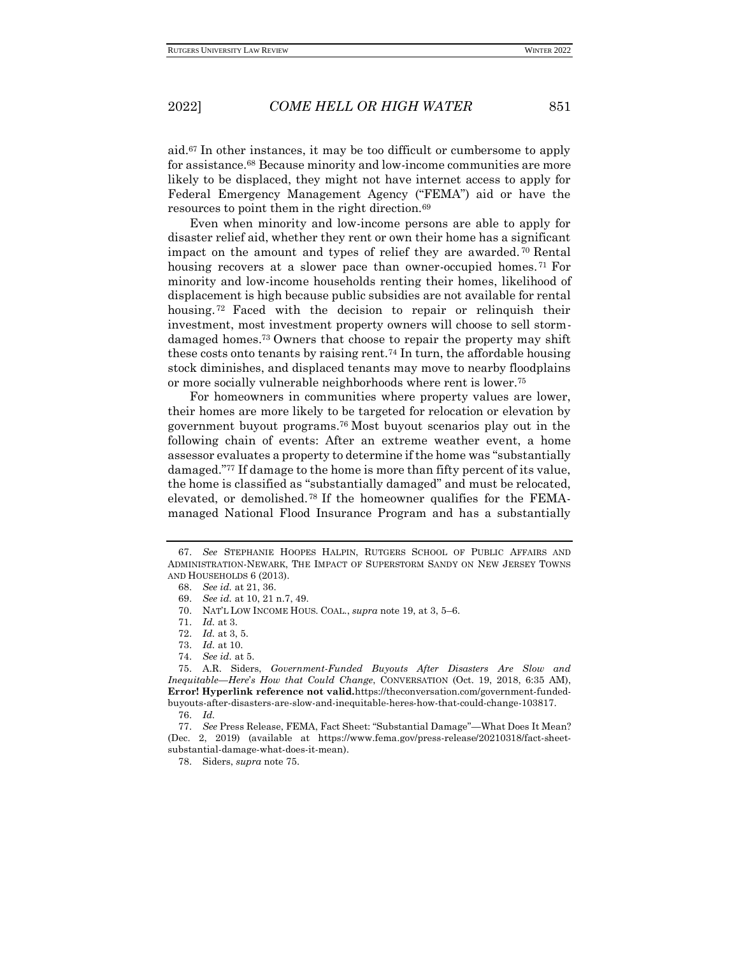aid.<sup>67</sup> In other instances, it may be too difficult or cumbersome to apply for assistance.<sup>68</sup> Because minority and low-income communities are more likely to be displaced, they might not have internet access to apply for Federal Emergency Management Agency ("FEMA") aid or have the resources to point them in the right direction.<sup>69</sup>

Even when minority and low-income persons are able to apply for disaster relief aid, whether they rent or own their home has a significant impact on the amount and types of relief they are awarded. <sup>70</sup> Rental housing recovers at a slower pace than owner-occupied homes.<sup>71</sup> For minority and low-income households renting their homes, likelihood of displacement is high because public subsidies are not available for rental housing. <sup>72</sup> Faced with the decision to repair or relinquish their investment, most investment property owners will choose to sell stormdamaged homes.<sup>73</sup> Owners that choose to repair the property may shift these costs onto tenants by raising rent.<sup>74</sup> In turn, the affordable housing stock diminishes, and displaced tenants may move to nearby floodplains or more socially vulnerable neighborhoods where rent is lower.<sup>75</sup>

For homeowners in communities where property values are lower, their homes are more likely to be targeted for relocation or elevation by government buyout programs.<sup>76</sup> Most buyout scenarios play out in the following chain of events: After an extreme weather event, a home assessor evaluates a property to determine if the home was "substantially damaged."<sup>77</sup> If damage to the home is more than fifty percent of its value, the home is classified as "substantially damaged" and must be relocated, elevated, or demolished. <sup>78</sup> If the homeowner qualifies for the FEMAmanaged National Flood Insurance Program and has a substantially

<sup>67.</sup> *See* STEPHANIE HOOPES HALPIN, RUTGERS SCHOOL OF PUBLIC AFFAIRS AND ADMINISTRATION-NEWARK, THE IMPACT OF SUPERSTORM SANDY ON NEW JERSEY TOWNS AND HOUSEHOLDS 6 (2013).

<sup>68.</sup> *See id.* at 21, 36.

<sup>69.</sup> *See id.* at 10, 21 n.7, 49.

<sup>70.</sup> NAT'L LOW INCOME HOUS. COAL., *supra* note 19, at 3, 5–6.

<sup>71.</sup> *Id.* at 3.

<sup>72.</sup> *Id.* at 3, 5.

<sup>73.</sup> *Id.* at 10.

<sup>74.</sup> *See id.* at 5.

<sup>75.</sup> A.R. Siders, *Government-Funded Buyouts After Disasters Are Slow and Inequitable—Here*'*s How that Could Change*, CONVERSATION (Oct. 19, 2018, 6:35 AM), **Error! Hyperlink reference not valid.**https://theconversation.com/government-fundedbuyouts-after-disasters-are-slow-and-inequitable-heres-how-that-could-change-103817.

<sup>76.</sup> *Id.*

<sup>77.</sup> *See* Press Release, FEMA, Fact Sheet: "Substantial Damage"*—*What Does It Mean? (Dec. 2, 2019) (available at https://www.fema.gov/press-release/20210318/fact-sheetsubstantial-damage-what-does-it-mean).

<sup>78.</sup> Siders, *supra* note 75.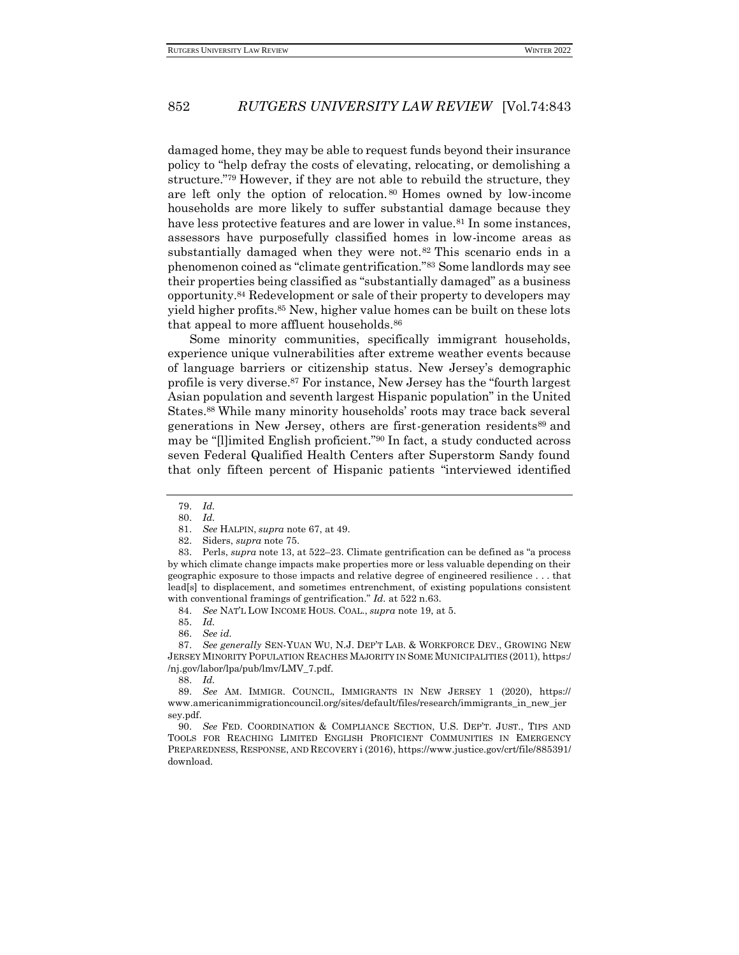damaged home, they may be able to request funds beyond their insurance policy to "help defray the costs of elevating, relocating, or demolishing a structure."<sup>79</sup> However, if they are not able to rebuild the structure, they are left only the option of relocation. <sup>80</sup> Homes owned by low-income households are more likely to suffer substantial damage because they have less protective features and are lower in value.<sup>81</sup> In some instances, assessors have purposefully classified homes in low-income areas as substantially damaged when they were not.<sup>82</sup> This scenario ends in a phenomenon coined as "climate gentrification."<sup>83</sup> Some landlords may see their properties being classified as "substantially damaged" as a business opportunity.<sup>84</sup> Redevelopment or sale of their property to developers may yield higher profits.<sup>85</sup> New, higher value homes can be built on these lots that appeal to more affluent households.<sup>86</sup>

Some minority communities, specifically immigrant households, experience unique vulnerabilities after extreme weather events because of language barriers or citizenship status. New Jersey's demographic profile is very diverse.<sup>87</sup> For instance, New Jersey has the "fourth largest Asian population and seventh largest Hispanic population" in the United States.<sup>88</sup> While many minority households' roots may trace back several generations in New Jersey, others are first-generation residents<sup>89</sup> and may be "[l]imited English proficient."<sup>90</sup> In fact, a study conducted across seven Federal Qualified Health Centers after Superstorm Sandy found that only fifteen percent of Hispanic patients "interviewed identified

82. Siders, *supra* note 75.

85. *Id.*

87. *See generally* SEN-YUAN WU, N.J. DEP'T LAB. & WORKFORCE DEV., GROWING NEW JERSEY MINORITY POPULATION REACHES MAJORITY IN SOME MUNICIPALITIES (2011), https:/ /nj.gov/labor/lpa/pub/lmv/LMV\_7.pdf.

<sup>79.</sup> *Id.*

<sup>80.</sup> *Id.*

<sup>81.</sup> *See* HALPIN, *supra* note 67, at 49.

<sup>83.</sup> Perls, *supra* note 13, at 522–23. Climate gentrification can be defined as "a process by which climate change impacts make properties more or less valuable depending on their geographic exposure to those impacts and relative degree of engineered resilience . . . that lead[s] to displacement, and sometimes entrenchment, of existing populations consistent with conventional framings of gentrification." *Id.* at 522 n.63.

<sup>84.</sup> *See* NAT'L LOW INCOME HOUS. COAL., *supra* note 19, at 5.

<sup>86.</sup> *See id.*

<sup>88.</sup> *Id.*

<sup>89.</sup> *See* AM. IMMIGR. COUNCIL, IMMIGRANTS IN NEW JERSEY 1 (2020), https:// www.americanimmigrationcouncil.org/sites/default/files/research/immigrants\_in\_new\_jer sey.pdf.

<sup>90.</sup> *See* FED. COORDINATION & COMPLIANCE SECTION, U.S. DEP'T. JUST., TIPS AND TOOLS FOR REACHING LIMITED ENGLISH PROFICIENT COMMUNITIES IN EMERGENCY PREPAREDNESS, RESPONSE, AND RECOVERY i (2016), https://www.justice.gov/crt/file/885391/ download.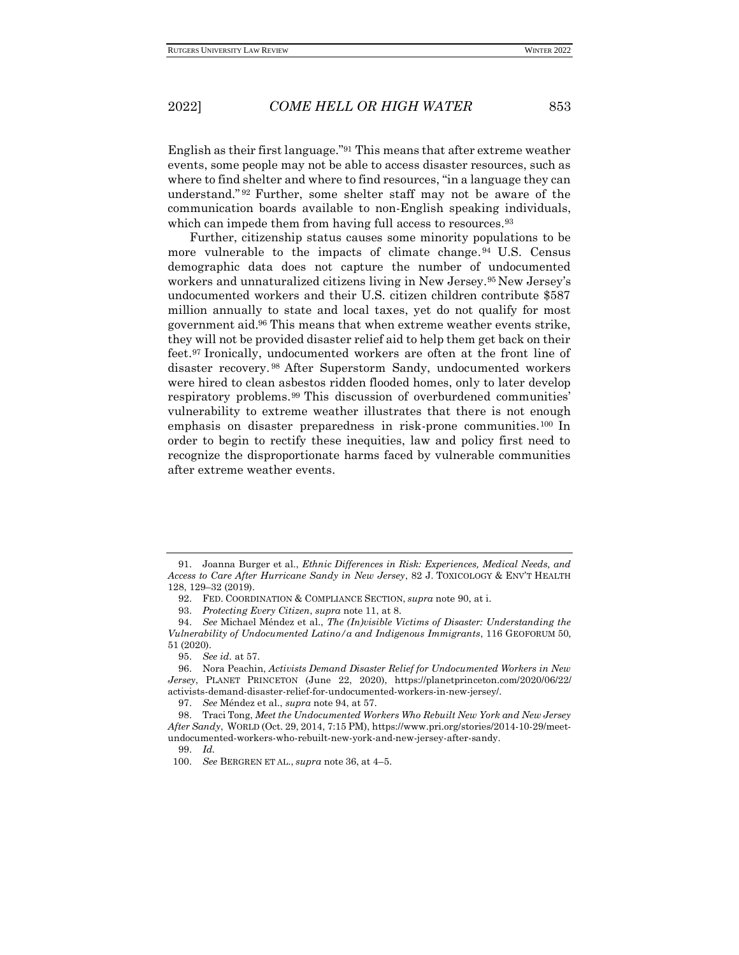English as their first language."<sup>91</sup> This means that after extreme weather events, some people may not be able to access disaster resources, such as where to find shelter and where to find resources, "in a language they can understand." <sup>92</sup> Further, some shelter staff may not be aware of the communication boards available to non-English speaking individuals, which can impede them from having full access to resources.<sup>93</sup>

Further, citizenship status causes some minority populations to be more vulnerable to the impacts of climate change.<sup>94</sup> U.S. Census demographic data does not capture the number of undocumented workers and unnaturalized citizens living in New Jersey.<sup>95</sup> New Jersey's undocumented workers and their U.S. citizen children contribute \$587 million annually to state and local taxes, yet do not qualify for most government aid.<sup>96</sup> This means that when extreme weather events strike, they will not be provided disaster relief aid to help them get back on their feet.<sup>97</sup> Ironically, undocumented workers are often at the front line of disaster recovery. <sup>98</sup> After Superstorm Sandy, undocumented workers were hired to clean asbestos ridden flooded homes, only to later develop respiratory problems.<sup>99</sup> This discussion of overburdened communities' vulnerability to extreme weather illustrates that there is not enough emphasis on disaster preparedness in risk-prone communities. <sup>100</sup> In order to begin to rectify these inequities, law and policy first need to recognize the disproportionate harms faced by vulnerable communities after extreme weather events.

<sup>91.</sup> Joanna Burger et al., *Ethnic Differences in Risk: Experiences, Medical Needs, and Access to Care After Hurricane Sandy in New Jersey*, 82 J. TOXICOLOGY & ENV'T HEALTH 128, 129–32 (2019).

<sup>92.</sup> FED. COORDINATION & COMPLIANCE SECTION, *supra* note 90, at i.

<sup>93.</sup> *Protecting Every Citizen*, *supra* note 11, at 8.

<sup>94.</sup> *See* Michael Méndez et al., *The (In)visible Victims of Disaster: Understanding the Vulnerability of Undocumented Latino/a and Indigenous Immigrants*, 116 GEOFORUM 50, 51 (2020).

<sup>95.</sup> *See id.* at 57.

<sup>96.</sup> Nora Peachin, *Activists Demand Disaster Relief for Undocumented Workers in New Jersey*, PLANET PRINCETON (June 22, 2020), https://planetprinceton.com/2020/06/22/ activists-demand-disaster-relief-for-undocumented-workers-in-new-jersey/.

<sup>97.</sup> *See* Méndez et al., *supra* note 94, at 57.

<sup>98.</sup> Traci Tong, *Meet the Undocumented Workers Who Rebuilt New York and New Jersey After Sandy*, WORLD (Oct. 29, 2014, 7:15 PM), https://www.pri.org/stories/2014-10-29/meetundocumented-workers-who-rebuilt-new-york-and-new-jersey-after-sandy.

<sup>99.</sup> *Id.*

<sup>100.</sup> *See* BERGREN ET AL., *supra* note 36, at 4–5.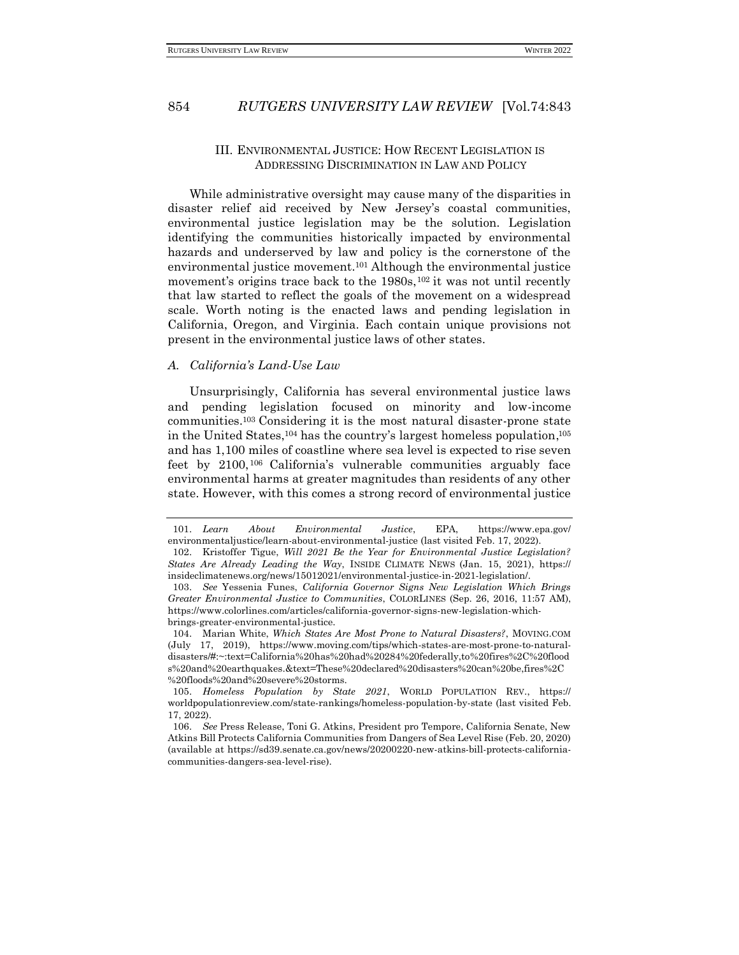## III. ENVIRONMENTAL JUSTICE: HOW RECENT LEGISLATION IS ADDRESSING DISCRIMINATION IN LAW AND POLICY

<span id="page-11-0"></span>While administrative oversight may cause many of the disparities in disaster relief aid received by New Jersey's coastal communities, environmental justice legislation may be the solution. Legislation identifying the communities historically impacted by environmental hazards and underserved by law and policy is the cornerstone of the environmental justice movement.<sup>101</sup> Although the environmental justice movement's origins trace back to the 1980s,<sup>102</sup> it was not until recently that law started to reflect the goals of the movement on a widespread scale. Worth noting is the enacted laws and pending legislation in California, Oregon, and Virginia. Each contain unique provisions not present in the environmental justice laws of other states.

#### <span id="page-11-1"></span>*A. California's Land-Use Law*

Unsurprisingly, California has several environmental justice laws and pending legislation focused on minority and low-income communities.<sup>103</sup> Considering it is the most natural disaster-prone state in the United States,<sup>104</sup> has the country's largest homeless population, 105 and has 1,100 miles of coastline where sea level is expected to rise seven feet by 2100, <sup>106</sup> California's vulnerable communities arguably face environmental harms at greater magnitudes than residents of any other state. However, with this comes a strong record of environmental justice

<sup>101.</sup> *Learn About Environmental Justice*, EPA, https://www.epa.gov/ environmentaljustice/learn-about-environmental-justice (last visited Feb. 17, 2022).

<sup>102.</sup> Kristoffer Tigue, *Will 2021 Be the Year for Environmental Justice Legislation? States Are Already Leading the Way*, INSIDE CLIMATE NEWS (Jan. 15, 2021), https:// insideclimatenews.org/news/15012021/environmental-justice-in-2021-legislation/.

<sup>103.</sup> *See* Yessenia Funes, *California Governor Signs New Legislation Which Brings Greater Environmental Justice to Communities*, COLORLINES (Sep. 26, 2016, 11:57 AM), https://www.colorlines.com/articles/california-governor-signs-new-legislation-whichbrings-greater-environmental-justice.

<sup>104.</sup> Marian White, *Which States Are Most Prone to Natural Disasters?*, MOVING.COM (July 17, 2019), https://www.moving.com/tips/which-states-are-most-prone-to-naturaldisasters/#:~:text=California%20has%20had%20284%20federally,to%20fires%2C%20flood s%20and%20earthquakes.&text=These%20declared%20disasters%20can%20be,fires%2C %20floods%20and%20severe%20storms.

<sup>105.</sup> *Homeless Population by State 2021*, WORLD POPULATION REV., https:// worldpopulationreview.com/state-rankings/homeless-population-by-state (last visited Feb. 17, 2022).

<sup>106.</sup> *See* Press Release, Toni G. Atkins, President pro Tempore, California Senate, New Atkins Bill Protects California Communities from Dangers of Sea Level Rise (Feb. 20, 2020) (available at https://sd39.senate.ca.gov/news/20200220-new-atkins-bill-protects-californiacommunities-dangers-sea-level-rise).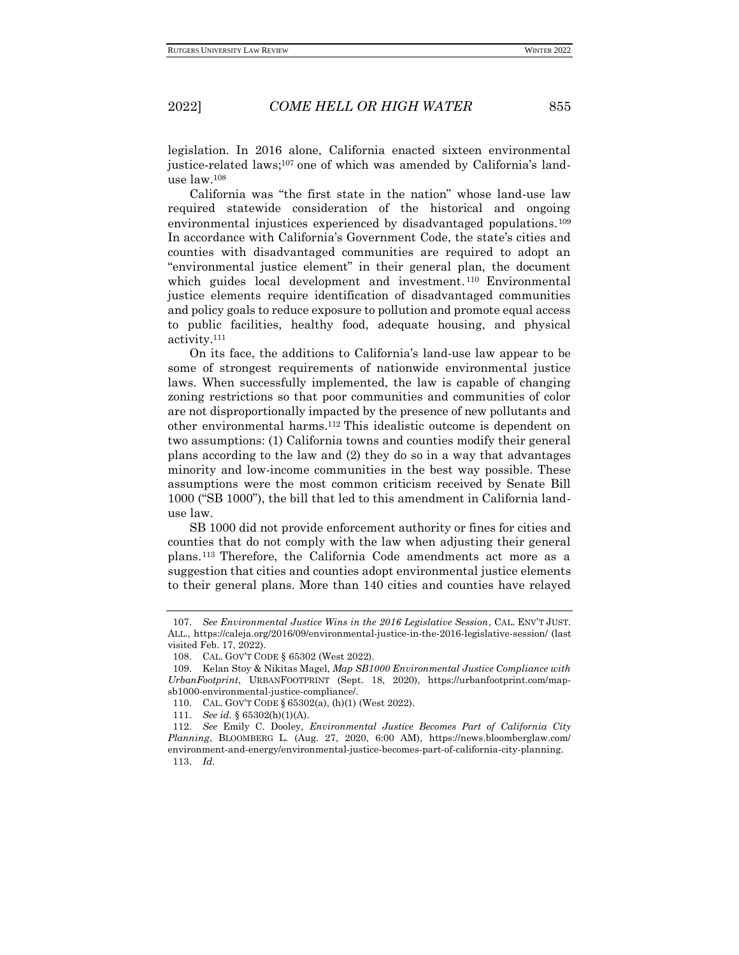legislation. In 2016 alone, California enacted sixteen environmental justice-related laws;<sup>107</sup> one of which was amended by California's landuse law.<sup>108</sup>

California was "the first state in the nation" whose land-use law required statewide consideration of the historical and ongoing environmental injustices experienced by disadvantaged populations.<sup>109</sup> In accordance with California's Government Code, the state's cities and counties with disadvantaged communities are required to adopt an "environmental justice element" in their general plan, the document which guides local development and investment. <sup>110</sup> Environmental justice elements require identification of disadvantaged communities and policy goals to reduce exposure to pollution and promote equal access to public facilities, healthy food, adequate housing, and physical activity.<sup>111</sup>

On its face, the additions to California's land-use law appear to be some of strongest requirements of nationwide environmental justice laws. When successfully implemented, the law is capable of changing zoning restrictions so that poor communities and communities of color are not disproportionally impacted by the presence of new pollutants and other environmental harms.<sup>112</sup> This idealistic outcome is dependent on two assumptions: (1) California towns and counties modify their general plans according to the law and (2) they do so in a way that advantages minority and low-income communities in the best way possible. These assumptions were the most common criticism received by Senate Bill 1000 ("SB 1000"), the bill that led to this amendment in California landuse law.

SB 1000 did not provide enforcement authority or fines for cities and counties that do not comply with the law when adjusting their general plans. <sup>113</sup> Therefore, the California Code amendments act more as a suggestion that cities and counties adopt environmental justice elements to their general plans. More than 140 cities and counties have relayed

<sup>107.</sup> *See Environmental Justice Wins in the 2016 Legislative Session*, CAL. ENV'T JUST. ALL., https://caleja.org/2016/09/environmental-justice-in-the-2016-legislative-session/ (last visited Feb. 17, 2022).

<sup>108.</sup> CAL. GOV'T CODE § 65302 (West 2022).

<sup>109.</sup> Kelan Stoy & Nikitas Magel, *Map SB1000 Environmental Justice Compliance with UrbanFootprint*, URBANFOOTPRINT (Sept. 18, 2020), https://urbanfootprint.com/mapsb1000-environmental-justice-compliance/.

<sup>110.</sup> CAL. GOV'T CODE § 65302(a), (h)(1) (West 2022).

<sup>111.</sup> *See id.* § 65302(h)(1)(A).

<sup>112.</sup> *See* Emily C. Dooley, *Environmental Justice Becomes Part of California City Planning*, BLOOMBERG L. (Aug. 27, 2020, 6:00 AM), https://news.bloomberglaw.com/ environment-and-energy/environmental-justice-becomes-part-of-california-city-planning. 113. *Id.*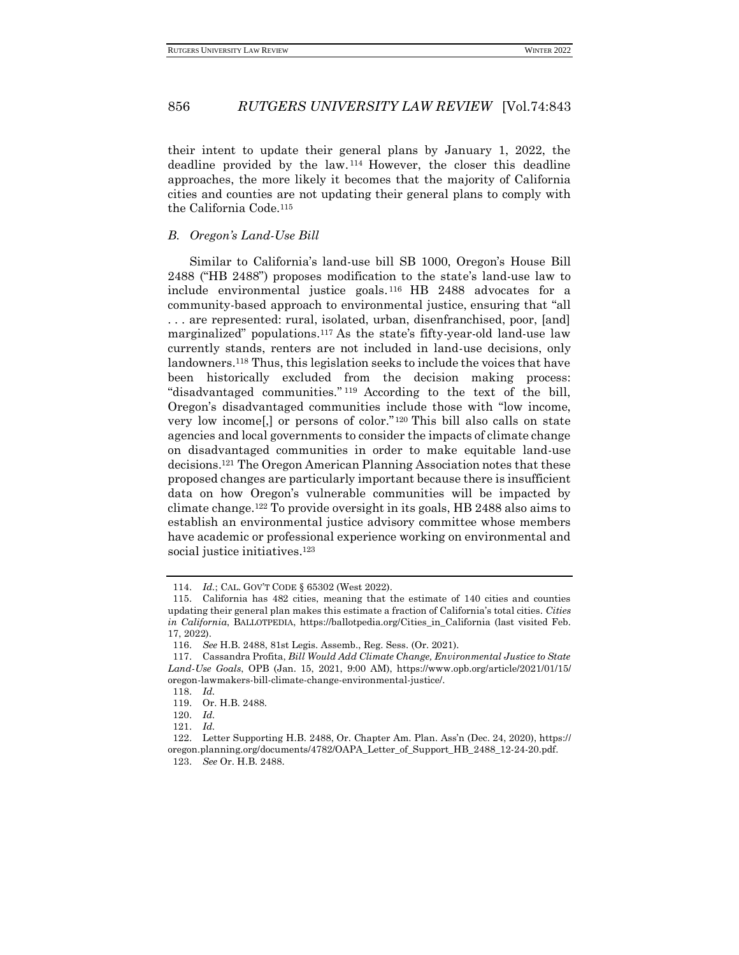their intent to update their general plans by January 1, 2022, the deadline provided by the law. <sup>114</sup> However, the closer this deadline approaches, the more likely it becomes that the majority of California cities and counties are not updating their general plans to comply with the California Code.<sup>115</sup>

#### <span id="page-13-0"></span>*B. Oregon's Land-Use Bill*

Similar to California's land-use bill SB 1000, Oregon's House Bill 2488 ("HB 2488") proposes modification to the state's land-use law to include environmental justice goals. <sup>116</sup> HB 2488 advocates for a community-based approach to environmental justice, ensuring that "all . . . are represented: rural, isolated, urban, disenfranchised, poor, [and] marginalized" populations.<sup>117</sup> As the state's fifty-year-old land-use law currently stands, renters are not included in land-use decisions, only landowners.<sup>118</sup> Thus, this legislation seeks to include the voices that have been historically excluded from the decision making process: "disadvantaged communities." <sup>119</sup> According to the text of the bill, Oregon's disadvantaged communities include those with "low income, very low income[,] or persons of color."<sup>120</sup> This bill also calls on state agencies and local governments to consider the impacts of climate change on disadvantaged communities in order to make equitable land-use decisions.<sup>121</sup> The Oregon American Planning Association notes that these proposed changes are particularly important because there is insufficient data on how Oregon's vulnerable communities will be impacted by climate change.<sup>122</sup> To provide oversight in its goals, HB 2488 also aims to establish an environmental justice advisory committee whose members have academic or professional experience working on environmental and social justice initiatives.<sup>123</sup>

<sup>114.</sup> *Id.*; CAL. GOV'T CODE § 65302 (West 2022).

<sup>115.</sup> California has 482 cities, meaning that the estimate of 140 cities and counties updating their general plan makes this estimate a fraction of California's total cities. *Cities in California*, BALLOTPEDIA, https://ballotpedia.org/Cities\_in\_California (last visited Feb. 17, 2022).

<sup>116.</sup> *See* H.B. 2488, 81st Legis. Assemb., Reg. Sess. (Or. 2021).

<sup>117.</sup> Cassandra Profita, *Bill Would Add Climate Change, Environmental Justice to State Land-Use Goals*, OPB (Jan. 15, 2021, 9:00 AM), https://www.opb.org/article/2021/01/15/ oregon-lawmakers-bill-climate-change-environmental-justice/.

<sup>118.</sup> *Id.*

<sup>119.</sup> Or. H.B. 2488.

<sup>120.</sup> *Id.* 121. *Id.*

<sup>122.</sup> Letter Supporting H.B. 2488, Or. Chapter Am. Plan. Ass'n (Dec. 24, 2020), https:// oregon.planning.org/documents/4782/OAPA\_Letter\_of\_Support\_HB\_2488\_12-24-20.pdf. 123. *See* Or. H.B. 2488.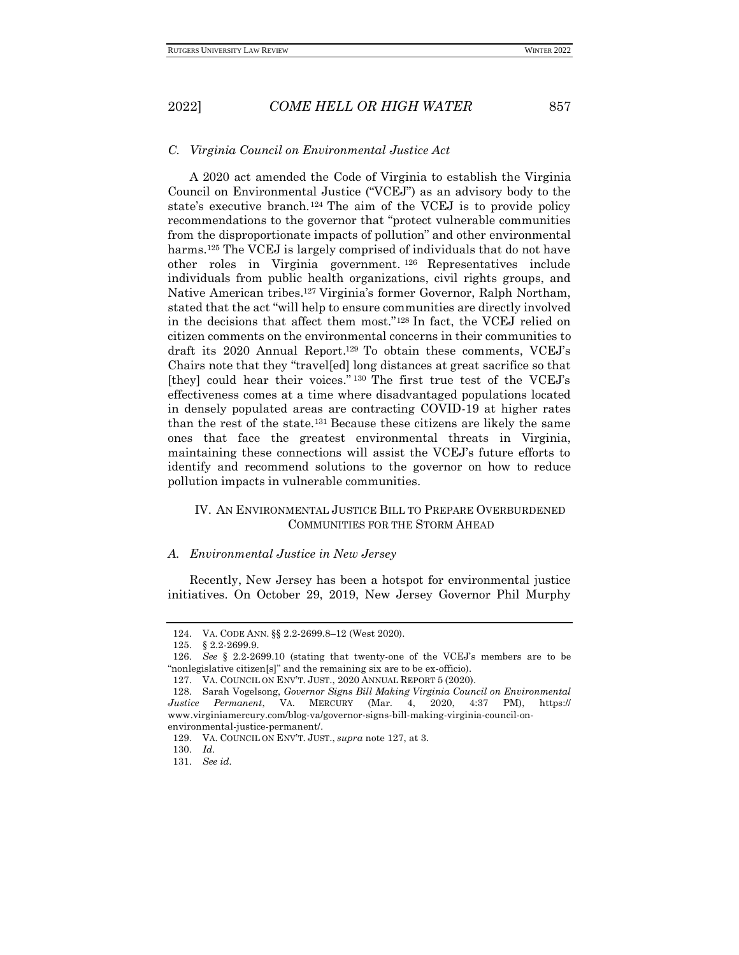#### <span id="page-14-0"></span>*C. Virginia Council on Environmental Justice Act*

A 2020 act amended the Code of Virginia to establish the Virginia Council on Environmental Justice ("VCEJ") as an advisory body to the state's executive branch.<sup>124</sup> The aim of the VCEJ is to provide policy recommendations to the governor that "protect vulnerable communities from the disproportionate impacts of pollution" and other environmental harms.<sup>125</sup> The VCEJ is largely comprised of individuals that do not have other roles in Virginia government. <sup>126</sup> Representatives include individuals from public health organizations, civil rights groups, and Native American tribes.<sup>127</sup> Virginia's former Governor, Ralph Northam, stated that the act "will help to ensure communities are directly involved in the decisions that affect them most."<sup>128</sup> In fact, the VCEJ relied on citizen comments on the environmental concerns in their communities to draft its 2020 Annual Report. <sup>129</sup> To obtain these comments, VCEJ's Chairs note that they "travel[ed] long distances at great sacrifice so that [they] could hear their voices." <sup>130</sup> The first true test of the VCEJ's effectiveness comes at a time where disadvantaged populations located in densely populated areas are contracting COVID-19 at higher rates than the rest of the state.<sup>131</sup> Because these citizens are likely the same ones that face the greatest environmental threats in Virginia, maintaining these connections will assist the VCEJ's future efforts to identify and recommend solutions to the governor on how to reduce pollution impacts in vulnerable communities.

## <span id="page-14-1"></span>IV. AN ENVIRONMENTAL JUSTICE BILL TO PREPARE OVERBURDENED COMMUNITIES FOR THE STORM AHEAD

#### <span id="page-14-2"></span>*A. Environmental Justice in New Jersey*

Recently, New Jersey has been a hotspot for environmental justice initiatives. On October 29, 2019, New Jersey Governor Phil Murphy

<sup>124.</sup> VA. CODE ANN. §§ 2.2-2699.8–12 (West 2020).

<sup>125.</sup> § 2.2-2699.9.

<sup>126.</sup> *See* § 2.2-2699.10 (stating that twenty-one of the VCEJ's members are to be "nonlegislative citizen[s]" and the remaining six are to be ex-officio).

<sup>127.</sup> VA. COUNCIL ON ENV'T. JUST., 2020 ANNUAL REPORT 5 (2020).

<sup>128.</sup> Sarah Vogelsong, *Governor Signs Bill Making Virginia Council on Environmental Justice Permanent*, VA. MERCURY (Mar. 4, 2020, 4:37 PM), https:// www.virginiamercury.com/blog-va/governor-signs-bill-making-virginia-council-onenvironmental-justice-permanent/.

<sup>129.</sup> VA. COUNCIL ON ENV'T. JUST., *supra* note 127, at 3.

<sup>130.</sup> *Id.*

<sup>131.</sup> *See id.*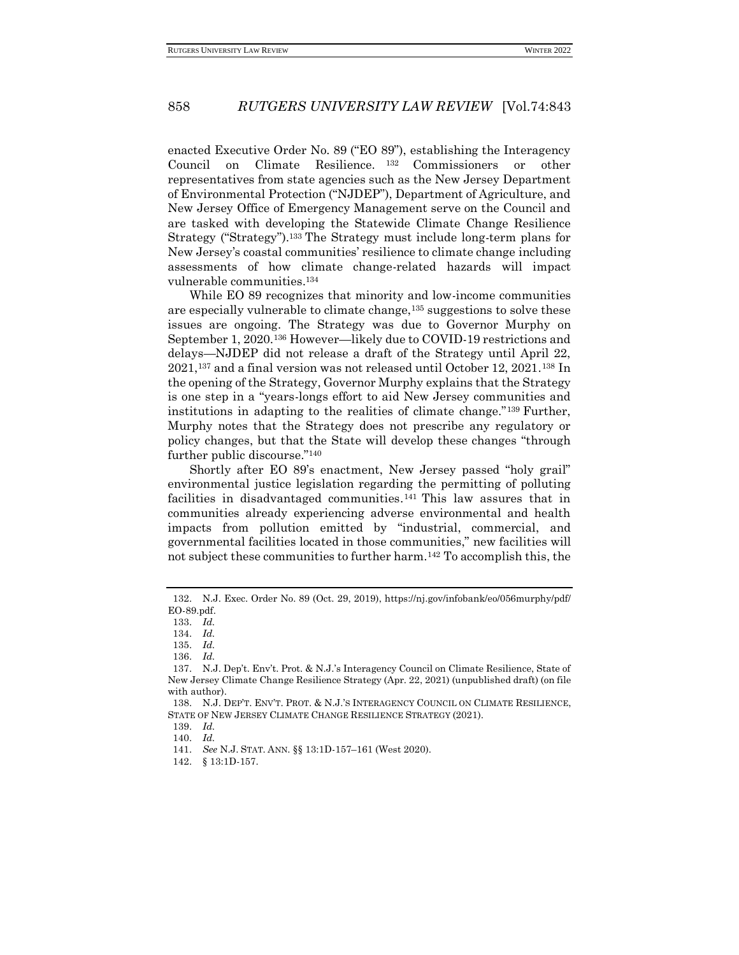enacted Executive Order No. 89 ("EO 89"), establishing the Interagency Council on Climate Resilience. <sup>132</sup> Commissioners or other representatives from state agencies such as the New Jersey Department of Environmental Protection ("NJDEP"), Department of Agriculture, and New Jersey Office of Emergency Management serve on the Council and are tasked with developing the Statewide Climate Change Resilience Strategy ("Strategy").<sup>133</sup> The Strategy must include long-term plans for New Jersey's coastal communities' resilience to climate change including assessments of how climate change-related hazards will impact vulnerable communities.<sup>134</sup>

While EO 89 recognizes that minority and low-income communities are especially vulnerable to climate change,<sup>135</sup> suggestions to solve these issues are ongoing. The Strategy was due to Governor Murphy on September 1, 2020.<sup>136</sup> However—likely due to COVID-19 restrictions and delays—NJDEP did not release a draft of the Strategy until April 22, 2021, <sup>137</sup> and a final version was not released until October 12, 2021.<sup>138</sup> In the opening of the Strategy, Governor Murphy explains that the Strategy is one step in a "years-longs effort to aid New Jersey communities and institutions in adapting to the realities of climate change."<sup>139</sup> Further, Murphy notes that the Strategy does not prescribe any regulatory or policy changes, but that the State will develop these changes "through further public discourse."<sup>140</sup>

Shortly after EO 89's enactment, New Jersey passed "holy grail" environmental justice legislation regarding the permitting of polluting facilities in disadvantaged communities. <sup>141</sup> This law assures that in communities already experiencing adverse environmental and health impacts from pollution emitted by "industrial, commercial, and governmental facilities located in those communities," new facilities will not subject these communities to further harm.<sup>142</sup> To accomplish this, the

<sup>132.</sup> N.J. Exec. Order No. 89 (Oct. 29, 2019), https://nj.gov/infobank/eo/056murphy/pdf/ EO-89.pdf.

<sup>133.</sup> *Id.*

<sup>134.</sup> *Id.*

<sup>135.</sup> *Id.*

<sup>136.</sup> *Id.*

<sup>137.</sup> N.J. Dep't. Env't. Prot. & N.J.'s Interagency Council on Climate Resilience, State of New Jersey Climate Change Resilience Strategy (Apr. 22, 2021) (unpublished draft) (on file with author).

<sup>138.</sup> N.J. DEP'T. ENV'T. PROT. & N.J.'S INTERAGENCY COUNCIL ON CLIMATE RESILIENCE, STATE OF NEW JERSEY CLIMATE CHANGE RESILIENCE STRATEGY (2021).

<sup>139.</sup> *Id.*

<sup>140.</sup> *Id.*

<sup>141.</sup> *See* N.J. STAT. ANN. §§ 13:1D-157–161 (West 2020).

<sup>142.</sup> § 13:1D-157.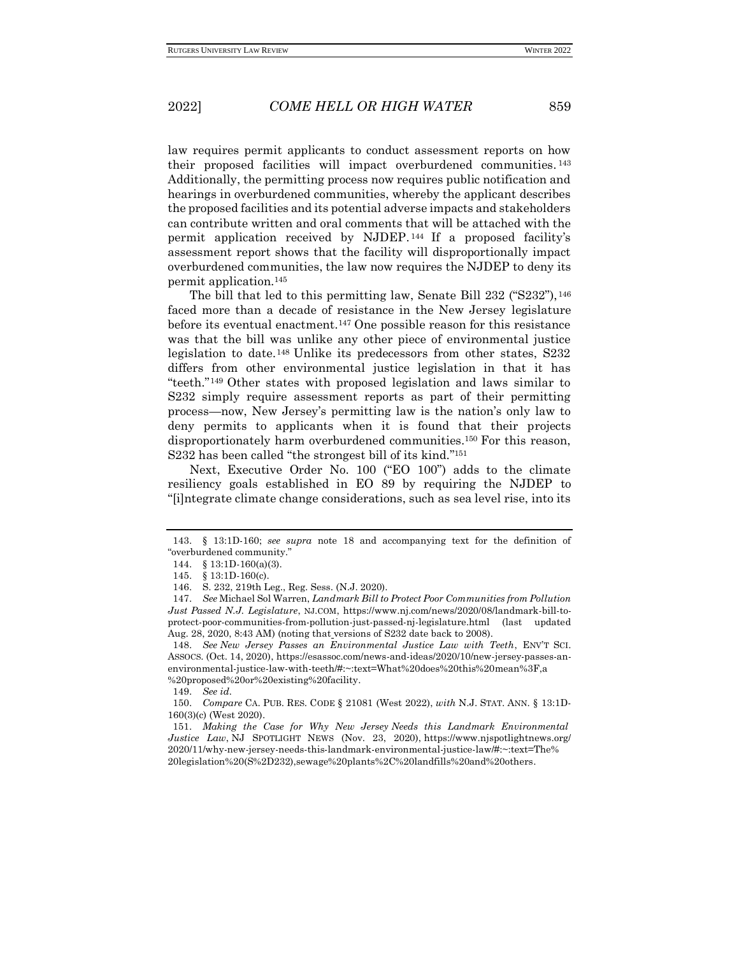law requires permit applicants to conduct assessment reports on how their proposed facilities will impact overburdened communities. 143 Additionally, the permitting process now requires public notification and hearings in overburdened communities, whereby the applicant describes the proposed facilities and its potential adverse impacts and stakeholders can contribute written and oral comments that will be attached with the permit application received by NJDEP. <sup>144</sup> If a proposed facility's assessment report shows that the facility will disproportionally impact overburdened communities, the law now requires the NJDEP to deny its permit application.<sup>145</sup>

The bill that led to this permitting law, Senate Bill 232 ("S232"), <sup>146</sup> faced more than a decade of resistance in the New Jersey legislature before its eventual enactment.<sup>147</sup> One possible reason for this resistance was that the bill was unlike any other piece of environmental justice legislation to date.<sup>148</sup> Unlike its predecessors from other states, S232 differs from other environmental justice legislation in that it has "teeth."<sup>149</sup> Other states with proposed legislation and laws similar to S232 simply require assessment reports as part of their permitting process—now, New Jersey's permitting law is the nation's only law to deny permits to applicants when it is found that their projects disproportionately harm overburdened communities.<sup>150</sup> For this reason, S232 has been called "the strongest bill of its kind."<sup>151</sup>

Next, Executive Order No. 100 ("EO 100") adds to the climate resiliency goals established in EO 89 by requiring the NJDEP to "[i]ntegrate climate change considerations, such as sea level rise, into its

149. *See id.*

<sup>143.</sup> § 13:1D-160; *see supra* note 18 and accompanying text for the definition of "overburdened community."

<sup>144.</sup> § 13:1D-160(a)(3).

<sup>145.</sup> § 13:1D-160(c).

<sup>146.</sup> S. 232, 219th Leg., Reg. Sess. (N.J. 2020).

<sup>147.</sup> *See* Michael Sol Warren, *Landmark Bill to Protect Poor Communities from Pollution Just Passed N.J. Legislature*, NJ.COM, https://www.nj.com/news/2020/08/landmark-bill-toprotect-poor-communities-from-pollution-just-passed-nj-legislature.html (last updated Aug. 28, 2020, 8:43 AM) (noting that versions of S232 date back to 2008).

<sup>148.</sup> *See New Jersey Passes an Environmental Justice Law with Teeth*, ENV'T SCI. ASSOCS. (Oct. 14, 2020), https://esassoc.com/news-and-ideas/2020/10/new-jersey-passes-anenvironmental-justice-law-with-teeth/#:~:text=What%20does%20this%20mean%3F,a %20proposed%20or%20existing%20facility.

<sup>150.</sup> *Compare* CA. PUB. RES. CODE § 21081 (West 2022), *with* N.J. STAT. ANN. § 13:1D-160(3)(c) (West 2020).

<sup>151.</sup> *Making the Case for Why New Jersey Needs this Landmark Environmental Justice Law*, NJ SPOTLIGHT NEWS (Nov. 23, 2020), https://www.njspotlightnews.org/ 2020/11/why-new-jersey-needs-this-landmark-environmental-justice-law/#:~:text=The% 20legislation%20(S%2D232),sewage%20plants%2C%20landfills%20and%20others.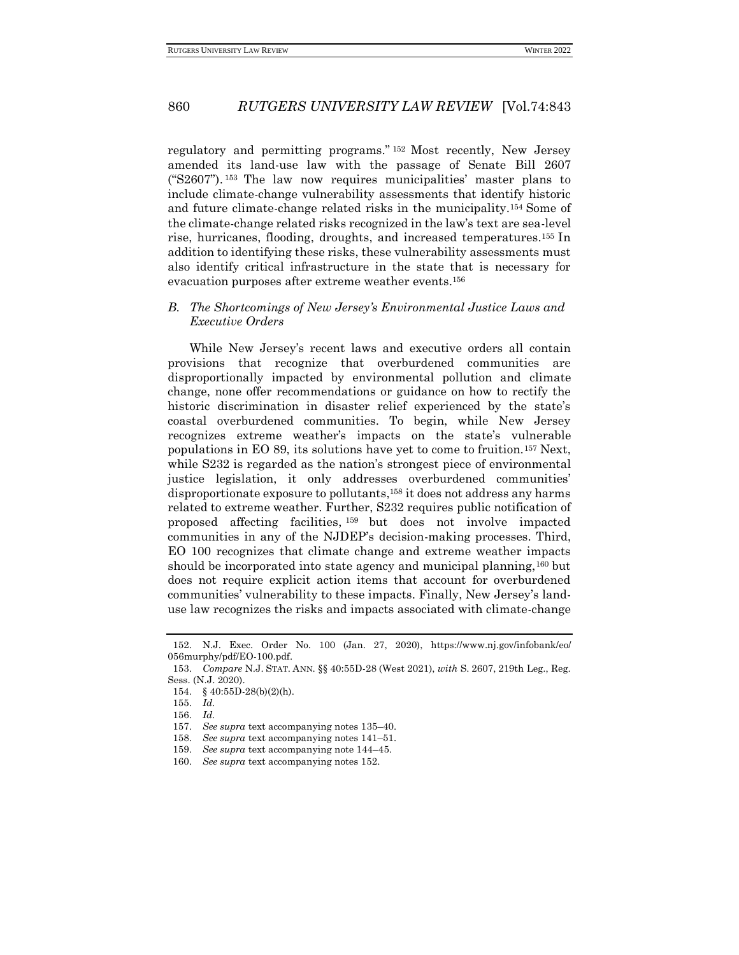regulatory and permitting programs." <sup>152</sup> Most recently, New Jersey amended its land-use law with the passage of Senate Bill 2607 ("S2607"). <sup>153</sup> The law now requires municipalities' master plans to include climate-change vulnerability assessments that identify historic and future climate-change related risks in the municipality.<sup>154</sup> Some of the climate-change related risks recognized in the law's text are sea-level rise, hurricanes, flooding, droughts, and increased temperatures.<sup>155</sup> In addition to identifying these risks, these vulnerability assessments must also identify critical infrastructure in the state that is necessary for evacuation purposes after extreme weather events.<sup>156</sup>

## <span id="page-17-0"></span>*B. The Shortcomings of New Jersey's Environmental Justice Laws and Executive Orders*

While New Jersey's recent laws and executive orders all contain provisions that recognize that overburdened communities are disproportionally impacted by environmental pollution and climate change, none offer recommendations or guidance on how to rectify the historic discrimination in disaster relief experienced by the state's coastal overburdened communities. To begin, while New Jersey recognizes extreme weather's impacts on the state's vulnerable populations in EO 89, its solutions have yet to come to fruition.<sup>157</sup> Next, while S232 is regarded as the nation's strongest piece of environmental justice legislation, it only addresses overburdened communities' disproportionate exposure to pollutants,<sup>158</sup> it does not address any harms related to extreme weather. Further, S232 requires public notification of proposed affecting facilities, <sup>159</sup> but does not involve impacted communities in any of the NJDEP's decision-making processes. Third, EO 100 recognizes that climate change and extreme weather impacts should be incorporated into state agency and municipal planning,<sup>160</sup> but does not require explicit action items that account for overburdened communities' vulnerability to these impacts. Finally, New Jersey's landuse law recognizes the risks and impacts associated with climate-change

<sup>152.</sup> N.J. Exec. Order No. 100 (Jan. 27, 2020), https://www.nj.gov/infobank/eo/ 056murphy/pdf/EO-100.pdf.

<sup>153.</sup> *Compare* N.J. STAT. ANN. §§ 40:55D-28 (West 2021), *with* S. 2607, 219th Leg., Reg. Sess. (N.J. 2020).

<sup>154.</sup> § 40:55D-28(b)(2)(h).

<sup>155.</sup> *Id.*

<sup>156.</sup> *Id.*

<sup>157.</sup> *See supra* text accompanying notes 135–40.

<sup>158.</sup> *See supra* text accompanying notes 141–51.

<sup>159.</sup> *See supra* text accompanying note 144–45.

<sup>160.</sup> *See supra* text accompanying notes 152.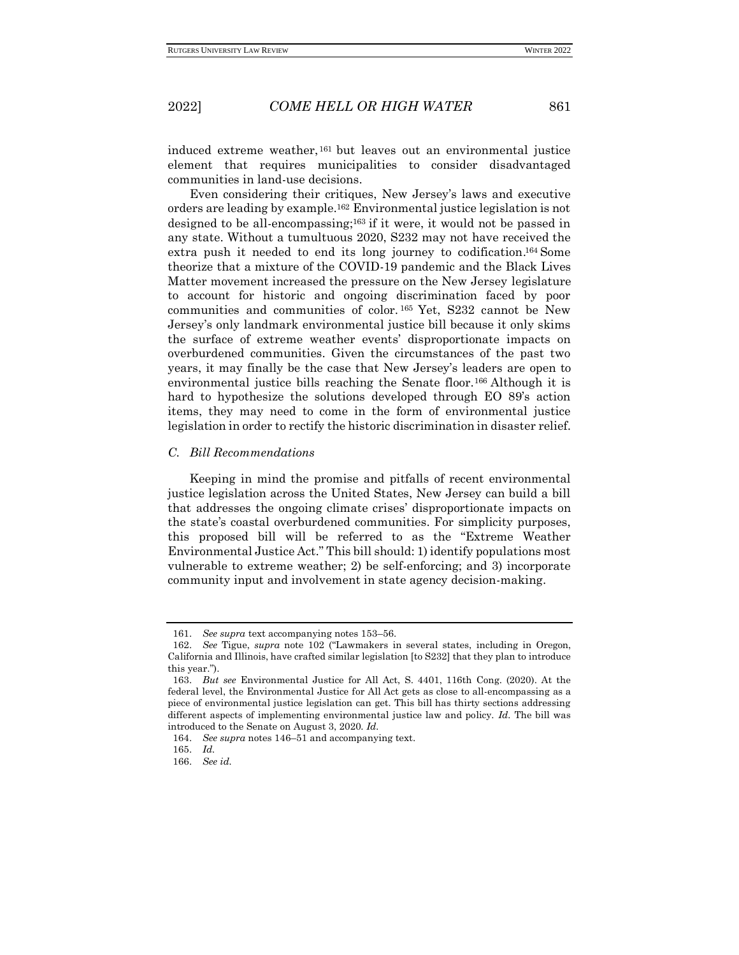induced extreme weather,<sup>161</sup> but leaves out an environmental justice element that requires municipalities to consider disadvantaged communities in land-use decisions.

Even considering their critiques, New Jersey's laws and executive orders are leading by example.<sup>162</sup> Environmental justice legislation is not designed to be all-encompassing;<sup>163</sup> if it were, it would not be passed in any state. Without a tumultuous 2020, S232 may not have received the extra push it needed to end its long journey to codification. <sup>164</sup> Some theorize that a mixture of the COVID-19 pandemic and the Black Lives Matter movement increased the pressure on the New Jersey legislature to account for historic and ongoing discrimination faced by poor communities and communities of color. <sup>165</sup> Yet, S232 cannot be New Jersey's only landmark environmental justice bill because it only skims the surface of extreme weather events' disproportionate impacts on overburdened communities. Given the circumstances of the past two years, it may finally be the case that New Jersey's leaders are open to environmental justice bills reaching the Senate floor.<sup>166</sup> Although it is hard to hypothesize the solutions developed through EO 89's action items, they may need to come in the form of environmental justice legislation in order to rectify the historic discrimination in disaster relief.

#### <span id="page-18-0"></span>*C. Bill Recommendations*

Keeping in mind the promise and pitfalls of recent environmental justice legislation across the United States, New Jersey can build a bill that addresses the ongoing climate crises' disproportionate impacts on the state's coastal overburdened communities. For simplicity purposes, this proposed bill will be referred to as the "Extreme Weather Environmental Justice Act." This bill should: 1) identify populations most vulnerable to extreme weather; 2) be self-enforcing; and 3) incorporate community input and involvement in state agency decision-making.

<sup>161.</sup> *See supra* text accompanying notes 153–56.

<sup>162.</sup> *See* Tigue, *supra* note 102 ("Lawmakers in several states, including in Oregon, California and Illinois, have crafted similar legislation [to S232] that they plan to introduce this year.").

<sup>163.</sup> *But see* Environmental Justice for All Act, S. 4401, 116th Cong. (2020). At the federal level, the Environmental Justice for All Act gets as close to all-encompassing as a piece of environmental justice legislation can get. This bill has thirty sections addressing different aspects of implementing environmental justice law and policy. *Id.* The bill was introduced to the Senate on August 3, 2020. *Id.*

<sup>164.</sup> *See supra* notes 146–51 and accompanying text.

<sup>165.</sup> *Id.*

<sup>166.</sup> *See id.*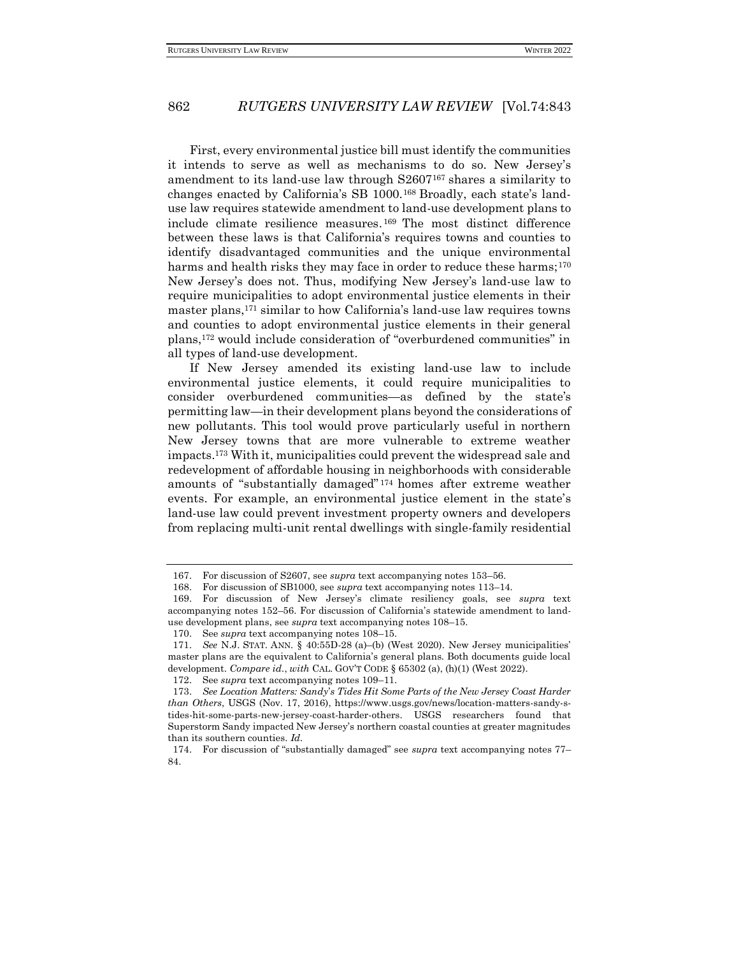First, every environmental justice bill must identify the communities it intends to serve as well as mechanisms to do so. New Jersey's amendment to its land-use law through S2607<sup>167</sup> shares a similarity to changes enacted by California's SB 1000.<sup>168</sup> Broadly, each state's landuse law requires statewide amendment to land-use development plans to include climate resilience measures. <sup>169</sup> The most distinct difference between these laws is that California's requires towns and counties to identify disadvantaged communities and the unique environmental harms and health risks they may face in order to reduce these harms;<sup>170</sup> New Jersey's does not. Thus, modifying New Jersey's land-use law to require municipalities to adopt environmental justice elements in their master plans,<sup>171</sup> similar to how California's land-use law requires towns and counties to adopt environmental justice elements in their general plans,<sup>172</sup> would include consideration of "overburdened communities" in all types of land-use development.

If New Jersey amended its existing land-use law to include environmental justice elements, it could require municipalities to consider overburdened communities—as defined by the state's permitting law—in their development plans beyond the considerations of new pollutants. This tool would prove particularly useful in northern New Jersey towns that are more vulnerable to extreme weather impacts.<sup>173</sup> With it, municipalities could prevent the widespread sale and redevelopment of affordable housing in neighborhoods with considerable amounts of "substantially damaged" <sup>174</sup> homes after extreme weather events. For example, an environmental justice element in the state's land-use law could prevent investment property owners and developers from replacing multi-unit rental dwellings with single-family residential

<sup>167.</sup> For discussion of S2607, see *supra* text accompanying notes 153–56.

<sup>168.</sup> For discussion of SB1000, see *supra* text accompanying notes 113–14.

<sup>169.</sup> For discussion of New Jersey's climate resiliency goals, see *supra* text accompanying notes 152–56. For discussion of California's statewide amendment to landuse development plans, see *supra* text accompanying notes 108–15.

<sup>170.</sup> See *supra* text accompanying notes 108–15.

<sup>171.</sup> *See* N.J. STAT. ANN. § 40:55D-28 (a)–(b) (West 2020). New Jersey municipalities' master plans are the equivalent to California's general plans. Both documents guide local development. *Compare id.*, *with* CAL. GOV'T CODE § 65302 (a), (h)(1) (West 2022).

<sup>172.</sup> See *supra* text accompanying notes 109–11.

<sup>173.</sup> *See Location Matters: Sandy*'*s Tides Hit Some Parts of the New Jersey Coast Harder than Others*, USGS (Nov. 17, 2016), [https://www.usgs.gov/news/location-matters-sandy-s](https://www.usgs.gov/news/location-matters-sandy-s-tides-hit-some-parts-new-jersey-coast-harder-others)[tides-hit-some-parts-new-jersey-coast-harder-others.](https://www.usgs.gov/news/location-matters-sandy-s-tides-hit-some-parts-new-jersey-coast-harder-others) USGS researchers found that Superstorm Sandy impacted New Jersey's northern coastal counties at greater magnitudes than its southern counties. *Id.*

<sup>174.</sup> For discussion of "substantially damaged" see *supra* text accompanying notes 77– 84.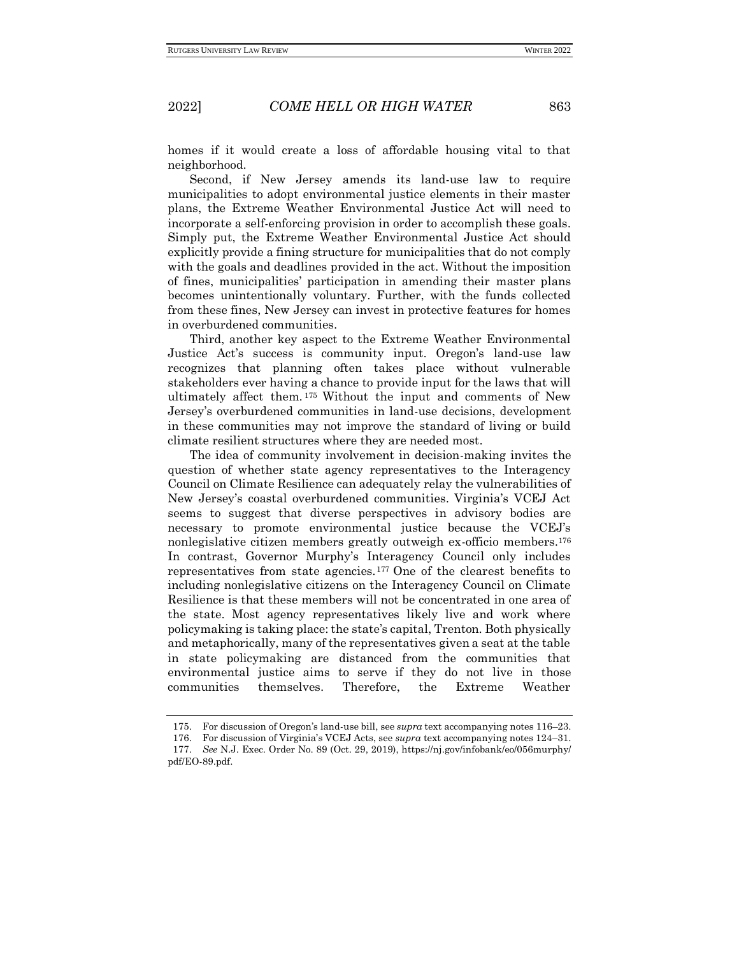homes if it would create a loss of affordable housing vital to that neighborhood.

Second, if New Jersey amends its land-use law to require municipalities to adopt environmental justice elements in their master plans, the Extreme Weather Environmental Justice Act will need to incorporate a self-enforcing provision in order to accomplish these goals. Simply put, the Extreme Weather Environmental Justice Act should explicitly provide a fining structure for municipalities that do not comply with the goals and deadlines provided in the act. Without the imposition of fines, municipalities' participation in amending their master plans becomes unintentionally voluntary. Further, with the funds collected from these fines, New Jersey can invest in protective features for homes in overburdened communities.

Third, another key aspect to the Extreme Weather Environmental Justice Act's success is community input. Oregon's land-use law recognizes that planning often takes place without vulnerable stakeholders ever having a chance to provide input for the laws that will ultimately affect them. <sup>175</sup> Without the input and comments of New Jersey's overburdened communities in land-use decisions, development in these communities may not improve the standard of living or build climate resilient structures where they are needed most.

The idea of community involvement in decision-making invites the question of whether state agency representatives to the Interagency Council on Climate Resilience can adequately relay the vulnerabilities of New Jersey's coastal overburdened communities. Virginia's VCEJ Act seems to suggest that diverse perspectives in advisory bodies are necessary to promote environmental justice because the VCEJ's nonlegislative citizen members greatly outweigh ex-officio members.<sup>176</sup> In contrast, Governor Murphy's Interagency Council only includes representatives from state agencies.<sup>177</sup> One of the clearest benefits to including nonlegislative citizens on the Interagency Council on Climate Resilience is that these members will not be concentrated in one area of the state. Most agency representatives likely live and work where policymaking is taking place: the state's capital, Trenton. Both physically and metaphorically, many of the representatives given a seat at the table in state policymaking are distanced from the communities that environmental justice aims to serve if they do not live in those communities themselves. Therefore, the Extreme Weather

<sup>175.</sup> For discussion of Oregon's land-use bill, see *supra* text accompanying notes 116–23.

<sup>176.</sup> For discussion of Virginia's VCEJ Acts, see *supra* text accompanying notes 124–31.

<sup>177.</sup> *See* N.J. Exec. Order No. 89 (Oct. 29, 2019)[, https://nj.gov/infobank/eo/056murphy/](https://nj.gov/infobank/eo/056murphy/pdf/EO-89.pdf) [pdf/EO-89.pdf.](https://nj.gov/infobank/eo/056murphy/pdf/EO-89.pdf)